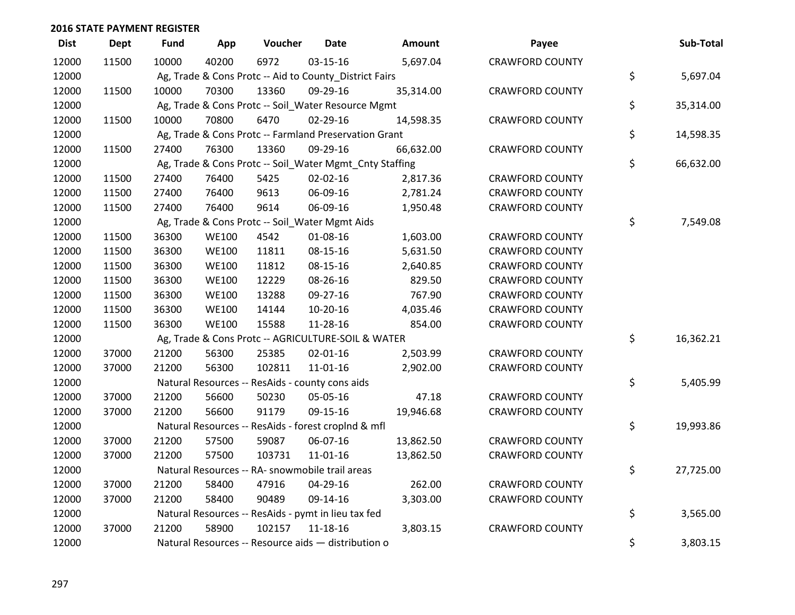| <b>Dist</b> | <b>Dept</b> | <b>Fund</b> | App          | Voucher | <b>Date</b>                                             | <b>Amount</b> | Payee                  | Sub-Total       |
|-------------|-------------|-------------|--------------|---------|---------------------------------------------------------|---------------|------------------------|-----------------|
| 12000       | 11500       | 10000       | 40200        | 6972    | 03-15-16                                                | 5,697.04      | <b>CRAWFORD COUNTY</b> |                 |
| 12000       |             |             |              |         | Ag, Trade & Cons Protc -- Aid to County_District Fairs  |               |                        | \$<br>5,697.04  |
| 12000       | 11500       | 10000       | 70300        | 13360   | 09-29-16                                                | 35,314.00     | <b>CRAWFORD COUNTY</b> |                 |
| 12000       |             |             |              |         | Ag, Trade & Cons Protc -- Soil_Water Resource Mgmt      |               |                        | \$<br>35,314.00 |
| 12000       | 11500       | 10000       | 70800        | 6470    | 02-29-16                                                | 14,598.35     | <b>CRAWFORD COUNTY</b> |                 |
| 12000       |             |             |              |         | Ag, Trade & Cons Protc -- Farmland Preservation Grant   |               |                        | \$<br>14,598.35 |
| 12000       | 11500       | 27400       | 76300        | 13360   | 09-29-16                                                | 66,632.00     | <b>CRAWFORD COUNTY</b> |                 |
| 12000       |             |             |              |         | Ag, Trade & Cons Protc -- Soil_Water Mgmt_Cnty Staffing |               |                        | \$<br>66,632.00 |
| 12000       | 11500       | 27400       | 76400        | 5425    | 02-02-16                                                | 2,817.36      | <b>CRAWFORD COUNTY</b> |                 |
| 12000       | 11500       | 27400       | 76400        | 9613    | 06-09-16                                                | 2,781.24      | <b>CRAWFORD COUNTY</b> |                 |
| 12000       | 11500       | 27400       | 76400        | 9614    | 06-09-16                                                | 1,950.48      | <b>CRAWFORD COUNTY</b> |                 |
| 12000       |             |             |              |         | Ag, Trade & Cons Protc -- Soil_Water Mgmt Aids          |               |                        | \$<br>7,549.08  |
| 12000       | 11500       | 36300       | <b>WE100</b> | 4542    | 01-08-16                                                | 1,603.00      | <b>CRAWFORD COUNTY</b> |                 |
| 12000       | 11500       | 36300       | <b>WE100</b> | 11811   | 08-15-16                                                | 5,631.50      | <b>CRAWFORD COUNTY</b> |                 |
| 12000       | 11500       | 36300       | <b>WE100</b> | 11812   | 08-15-16                                                | 2,640.85      | <b>CRAWFORD COUNTY</b> |                 |
| 12000       | 11500       | 36300       | <b>WE100</b> | 12229   | 08-26-16                                                | 829.50        | <b>CRAWFORD COUNTY</b> |                 |
| 12000       | 11500       | 36300       | <b>WE100</b> | 13288   | 09-27-16                                                | 767.90        | <b>CRAWFORD COUNTY</b> |                 |
| 12000       | 11500       | 36300       | <b>WE100</b> | 14144   | 10-20-16                                                | 4,035.46      | <b>CRAWFORD COUNTY</b> |                 |
| 12000       | 11500       | 36300       | <b>WE100</b> | 15588   | 11-28-16                                                | 854.00        | <b>CRAWFORD COUNTY</b> |                 |
| 12000       |             |             |              |         | Ag, Trade & Cons Protc -- AGRICULTURE-SOIL & WATER      |               |                        | \$<br>16,362.21 |
| 12000       | 37000       | 21200       | 56300        | 25385   | $02 - 01 - 16$                                          | 2,503.99      | <b>CRAWFORD COUNTY</b> |                 |
| 12000       | 37000       | 21200       | 56300        | 102811  | $11 - 01 - 16$                                          | 2,902.00      | <b>CRAWFORD COUNTY</b> |                 |
| 12000       |             |             |              |         | Natural Resources -- ResAids - county cons aids         |               |                        | \$<br>5,405.99  |
| 12000       | 37000       | 21200       | 56600        | 50230   | 05-05-16                                                | 47.18         | <b>CRAWFORD COUNTY</b> |                 |
| 12000       | 37000       | 21200       | 56600        | 91179   | 09-15-16                                                | 19,946.68     | <b>CRAWFORD COUNTY</b> |                 |
| 12000       |             |             |              |         | Natural Resources -- ResAids - forest croplnd & mfl     |               |                        | \$<br>19,993.86 |
| 12000       | 37000       | 21200       | 57500        | 59087   | 06-07-16                                                | 13,862.50     | <b>CRAWFORD COUNTY</b> |                 |
| 12000       | 37000       | 21200       | 57500        | 103731  | $11 - 01 - 16$                                          | 13,862.50     | <b>CRAWFORD COUNTY</b> |                 |
| 12000       |             |             |              |         | Natural Resources -- RA- snowmobile trail areas         |               |                        | \$<br>27,725.00 |
| 12000       | 37000       | 21200       | 58400        | 47916   | 04-29-16                                                | 262.00        | <b>CRAWFORD COUNTY</b> |                 |
| 12000       | 37000       | 21200       | 58400        | 90489   | 09-14-16                                                | 3,303.00      | <b>CRAWFORD COUNTY</b> |                 |
| 12000       |             |             |              |         | Natural Resources -- ResAids - pymt in lieu tax fed     |               |                        | \$<br>3,565.00  |
| 12000       | 37000       | 21200       | 58900        | 102157  | 11-18-16                                                | 3,803.15      | <b>CRAWFORD COUNTY</b> |                 |
| 12000       |             |             |              |         | Natural Resources -- Resource aids - distribution o     |               |                        | \$<br>3,803.15  |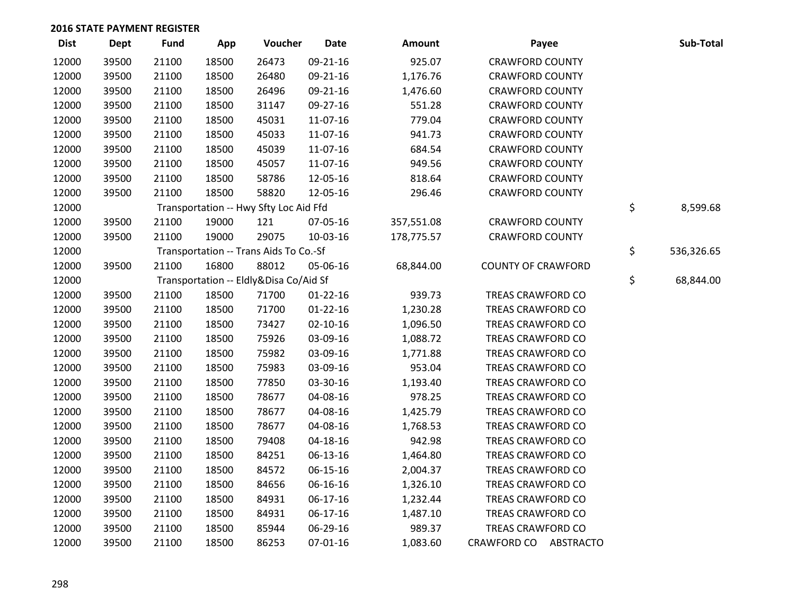| <b>Dist</b> | <b>Dept</b> | <b>Fund</b> | App   | Voucher                                | <b>Date</b>    | Amount     | Payee                     | Sub-Total        |
|-------------|-------------|-------------|-------|----------------------------------------|----------------|------------|---------------------------|------------------|
| 12000       | 39500       | 21100       | 18500 | 26473                                  | 09-21-16       | 925.07     | <b>CRAWFORD COUNTY</b>    |                  |
| 12000       | 39500       | 21100       | 18500 | 26480                                  | 09-21-16       | 1,176.76   | <b>CRAWFORD COUNTY</b>    |                  |
| 12000       | 39500       | 21100       | 18500 | 26496                                  | 09-21-16       | 1,476.60   | <b>CRAWFORD COUNTY</b>    |                  |
| 12000       | 39500       | 21100       | 18500 | 31147                                  | 09-27-16       | 551.28     | <b>CRAWFORD COUNTY</b>    |                  |
| 12000       | 39500       | 21100       | 18500 | 45031                                  | 11-07-16       | 779.04     | <b>CRAWFORD COUNTY</b>    |                  |
| 12000       | 39500       | 21100       | 18500 | 45033                                  | 11-07-16       | 941.73     | <b>CRAWFORD COUNTY</b>    |                  |
| 12000       | 39500       | 21100       | 18500 | 45039                                  | 11-07-16       | 684.54     | <b>CRAWFORD COUNTY</b>    |                  |
| 12000       | 39500       | 21100       | 18500 | 45057                                  | 11-07-16       | 949.56     | <b>CRAWFORD COUNTY</b>    |                  |
| 12000       | 39500       | 21100       | 18500 | 58786                                  | 12-05-16       | 818.64     | <b>CRAWFORD COUNTY</b>    |                  |
| 12000       | 39500       | 21100       | 18500 | 58820                                  | 12-05-16       | 296.46     | <b>CRAWFORD COUNTY</b>    |                  |
| 12000       |             |             |       | Transportation -- Hwy Sfty Loc Aid Ffd |                |            |                           | \$<br>8,599.68   |
| 12000       | 39500       | 21100       | 19000 | 121                                    | 07-05-16       | 357,551.08 | <b>CRAWFORD COUNTY</b>    |                  |
| 12000       | 39500       | 21100       | 19000 | 29075                                  | 10-03-16       | 178,775.57 | <b>CRAWFORD COUNTY</b>    |                  |
| 12000       |             |             |       | Transportation -- Trans Aids To Co.-Sf |                |            |                           | \$<br>536,326.65 |
| 12000       | 39500       | 21100       | 16800 | 88012                                  | 05-06-16       | 68,844.00  | <b>COUNTY OF CRAWFORD</b> |                  |
| 12000       |             |             |       | Transportation -- Eldly&Disa Co/Aid Sf |                |            |                           | \$<br>68,844.00  |
| 12000       | 39500       | 21100       | 18500 | 71700                                  | $01 - 22 - 16$ | 939.73     | TREAS CRAWFORD CO         |                  |
| 12000       | 39500       | 21100       | 18500 | 71700                                  | $01 - 22 - 16$ | 1,230.28   | TREAS CRAWFORD CO         |                  |
| 12000       | 39500       | 21100       | 18500 | 73427                                  | $02 - 10 - 16$ | 1,096.50   | TREAS CRAWFORD CO         |                  |
| 12000       | 39500       | 21100       | 18500 | 75926                                  | 03-09-16       | 1,088.72   | <b>TREAS CRAWFORD CO</b>  |                  |
| 12000       | 39500       | 21100       | 18500 | 75982                                  | 03-09-16       | 1,771.88   | TREAS CRAWFORD CO         |                  |
| 12000       | 39500       | 21100       | 18500 | 75983                                  | 03-09-16       | 953.04     | TREAS CRAWFORD CO         |                  |
| 12000       | 39500       | 21100       | 18500 | 77850                                  | 03-30-16       | 1,193.40   | TREAS CRAWFORD CO         |                  |
| 12000       | 39500       | 21100       | 18500 | 78677                                  | 04-08-16       | 978.25     | TREAS CRAWFORD CO         |                  |
| 12000       | 39500       | 21100       | 18500 | 78677                                  | 04-08-16       | 1,425.79   | TREAS CRAWFORD CO         |                  |
| 12000       | 39500       | 21100       | 18500 | 78677                                  | 04-08-16       | 1,768.53   | TREAS CRAWFORD CO         |                  |
| 12000       | 39500       | 21100       | 18500 | 79408                                  | $04 - 18 - 16$ | 942.98     | TREAS CRAWFORD CO         |                  |
| 12000       | 39500       | 21100       | 18500 | 84251                                  | 06-13-16       | 1,464.80   | TREAS CRAWFORD CO         |                  |
| 12000       | 39500       | 21100       | 18500 | 84572                                  | 06-15-16       | 2,004.37   | TREAS CRAWFORD CO         |                  |
| 12000       | 39500       | 21100       | 18500 | 84656                                  | 06-16-16       | 1,326.10   | TREAS CRAWFORD CO         |                  |
| 12000       | 39500       | 21100       | 18500 | 84931                                  | 06-17-16       | 1,232.44   | TREAS CRAWFORD CO         |                  |
| 12000       | 39500       | 21100       | 18500 | 84931                                  | 06-17-16       | 1,487.10   | TREAS CRAWFORD CO         |                  |
| 12000       | 39500       | 21100       | 18500 | 85944                                  | 06-29-16       | 989.37     | TREAS CRAWFORD CO         |                  |
| 12000       | 39500       | 21100       | 18500 | 86253                                  | $07 - 01 - 16$ | 1,083.60   | CRAWFORD CO ABSTRACTO     |                  |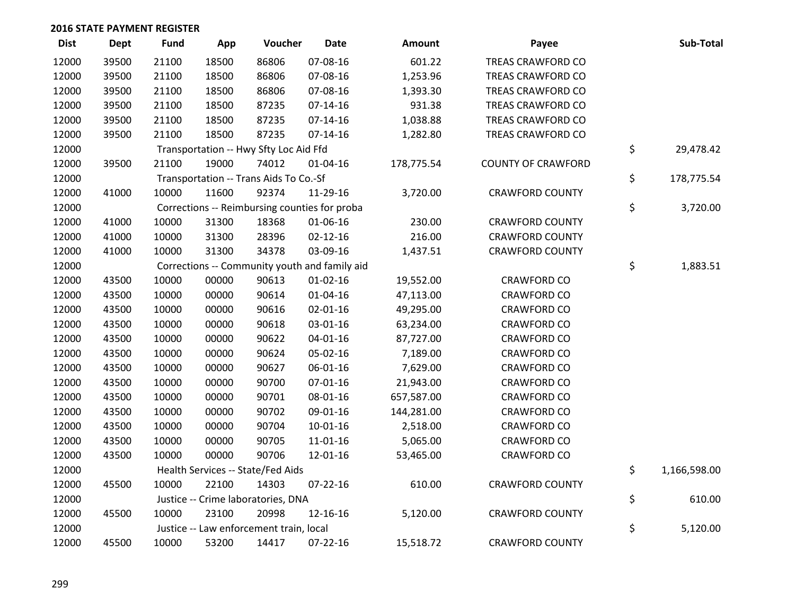| <b>Dist</b> | Dept  | <b>Fund</b> | App   | Voucher                                       | <b>Date</b>    | Amount     | Payee                     | Sub-Total          |
|-------------|-------|-------------|-------|-----------------------------------------------|----------------|------------|---------------------------|--------------------|
| 12000       | 39500 | 21100       | 18500 | 86806                                         | 07-08-16       | 601.22     | <b>TREAS CRAWFORD CO</b>  |                    |
| 12000       | 39500 | 21100       | 18500 | 86806                                         | 07-08-16       | 1,253.96   | TREAS CRAWFORD CO         |                    |
| 12000       | 39500 | 21100       | 18500 | 86806                                         | 07-08-16       | 1,393.30   | TREAS CRAWFORD CO         |                    |
| 12000       | 39500 | 21100       | 18500 | 87235                                         | $07-14-16$     | 931.38     | TREAS CRAWFORD CO         |                    |
| 12000       | 39500 | 21100       | 18500 | 87235                                         | $07 - 14 - 16$ | 1,038.88   | TREAS CRAWFORD CO         |                    |
| 12000       | 39500 | 21100       | 18500 | 87235                                         | $07 - 14 - 16$ | 1,282.80   | TREAS CRAWFORD CO         |                    |
| 12000       |       |             |       | Transportation -- Hwy Sfty Loc Aid Ffd        |                |            |                           | \$<br>29,478.42    |
| 12000       | 39500 | 21100       | 19000 | 74012                                         | $01 - 04 - 16$ | 178,775.54 | <b>COUNTY OF CRAWFORD</b> |                    |
| 12000       |       |             |       | Transportation -- Trans Aids To Co.-Sf        |                |            |                           | \$<br>178,775.54   |
| 12000       | 41000 | 10000       | 11600 | 92374                                         | 11-29-16       | 3,720.00   | <b>CRAWFORD COUNTY</b>    |                    |
| 12000       |       |             |       | Corrections -- Reimbursing counties for proba |                |            |                           | \$<br>3,720.00     |
| 12000       | 41000 | 10000       | 31300 | 18368                                         | 01-06-16       | 230.00     | <b>CRAWFORD COUNTY</b>    |                    |
| 12000       | 41000 | 10000       | 31300 | 28396                                         | $02 - 12 - 16$ | 216.00     | <b>CRAWFORD COUNTY</b>    |                    |
| 12000       | 41000 | 10000       | 31300 | 34378                                         | 03-09-16       | 1,437.51   | <b>CRAWFORD COUNTY</b>    |                    |
| 12000       |       |             |       | Corrections -- Community youth and family aid |                |            |                           | \$<br>1,883.51     |
| 12000       | 43500 | 10000       | 00000 | 90613                                         | $01-02-16$     | 19,552.00  | <b>CRAWFORD CO</b>        |                    |
| 12000       | 43500 | 10000       | 00000 | 90614                                         | $01 - 04 - 16$ | 47,113.00  | <b>CRAWFORD CO</b>        |                    |
| 12000       | 43500 | 10000       | 00000 | 90616                                         | 02-01-16       | 49,295.00  | <b>CRAWFORD CO</b>        |                    |
| 12000       | 43500 | 10000       | 00000 | 90618                                         | 03-01-16       | 63,234.00  | <b>CRAWFORD CO</b>        |                    |
| 12000       | 43500 | 10000       | 00000 | 90622                                         | $04 - 01 - 16$ | 87,727.00  | <b>CRAWFORD CO</b>        |                    |
| 12000       | 43500 | 10000       | 00000 | 90624                                         | 05-02-16       | 7,189.00   | <b>CRAWFORD CO</b>        |                    |
| 12000       | 43500 | 10000       | 00000 | 90627                                         | 06-01-16       | 7,629.00   | <b>CRAWFORD CO</b>        |                    |
| 12000       | 43500 | 10000       | 00000 | 90700                                         | $07 - 01 - 16$ | 21,943.00  | <b>CRAWFORD CO</b>        |                    |
| 12000       | 43500 | 10000       | 00000 | 90701                                         | 08-01-16       | 657,587.00 | <b>CRAWFORD CO</b>        |                    |
| 12000       | 43500 | 10000       | 00000 | 90702                                         | 09-01-16       | 144,281.00 | <b>CRAWFORD CO</b>        |                    |
| 12000       | 43500 | 10000       | 00000 | 90704                                         | $10 - 01 - 16$ | 2,518.00   | <b>CRAWFORD CO</b>        |                    |
| 12000       | 43500 | 10000       | 00000 | 90705                                         | 11-01-16       | 5,065.00   | <b>CRAWFORD CO</b>        |                    |
| 12000       | 43500 | 10000       | 00000 | 90706                                         | 12-01-16       | 53,465.00  | <b>CRAWFORD CO</b>        |                    |
| 12000       |       |             |       | Health Services -- State/Fed Aids             |                |            |                           | \$<br>1,166,598.00 |
| 12000       | 45500 | 10000       | 22100 | 14303                                         | $07 - 22 - 16$ | 610.00     | <b>CRAWFORD COUNTY</b>    |                    |
| 12000       |       |             |       | Justice -- Crime laboratories, DNA            |                |            |                           | \$<br>610.00       |
| 12000       | 45500 | 10000       | 23100 | 20998                                         | 12-16-16       | 5,120.00   | <b>CRAWFORD COUNTY</b>    |                    |
| 12000       |       |             |       | Justice -- Law enforcement train, local       |                |            |                           | \$<br>5,120.00     |
| 12000       | 45500 | 10000       | 53200 | 14417                                         | 07-22-16       | 15,518.72  | <b>CRAWFORD COUNTY</b>    |                    |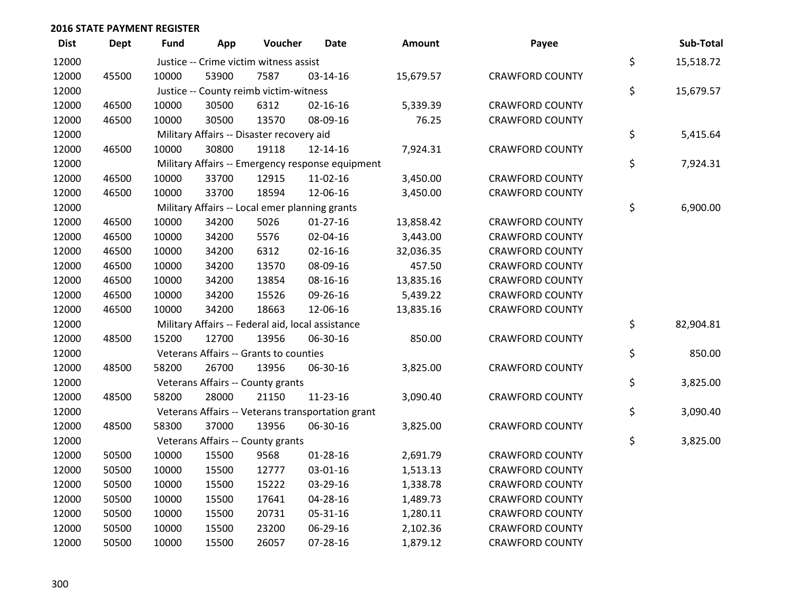| <b>Dist</b> | <b>Dept</b> | <b>Fund</b> | App   | Voucher                                           | Date                                              | Amount    | Payee                  | Sub-Total       |
|-------------|-------------|-------------|-------|---------------------------------------------------|---------------------------------------------------|-----------|------------------------|-----------------|
| 12000       |             |             |       | Justice -- Crime victim witness assist            |                                                   |           |                        | \$<br>15,518.72 |
| 12000       | 45500       | 10000       | 53900 | 7587                                              | 03-14-16                                          | 15,679.57 | <b>CRAWFORD COUNTY</b> |                 |
| 12000       |             |             |       | Justice -- County reimb victim-witness            |                                                   |           |                        | \$<br>15,679.57 |
| 12000       | 46500       | 10000       | 30500 | 6312                                              | $02 - 16 - 16$                                    | 5,339.39  | <b>CRAWFORD COUNTY</b> |                 |
| 12000       | 46500       | 10000       | 30500 | 13570                                             | 08-09-16                                          | 76.25     | <b>CRAWFORD COUNTY</b> |                 |
| 12000       |             |             |       | Military Affairs -- Disaster recovery aid         |                                                   |           |                        | \$<br>5,415.64  |
| 12000       | 46500       | 10000       | 30800 | 19118                                             | 12-14-16                                          | 7,924.31  | <b>CRAWFORD COUNTY</b> |                 |
| 12000       |             |             |       |                                                   | Military Affairs -- Emergency response equipment  |           |                        | \$<br>7,924.31  |
| 12000       | 46500       | 10000       | 33700 | 12915                                             | 11-02-16                                          | 3,450.00  | <b>CRAWFORD COUNTY</b> |                 |
| 12000       | 46500       | 10000       | 33700 | 18594                                             | 12-06-16                                          | 3,450.00  | <b>CRAWFORD COUNTY</b> |                 |
| 12000       |             |             |       | Military Affairs -- Local emer planning grants    |                                                   |           |                        | \$<br>6,900.00  |
| 12000       | 46500       | 10000       | 34200 | 5026                                              | $01-27-16$                                        | 13,858.42 | <b>CRAWFORD COUNTY</b> |                 |
| 12000       | 46500       | 10000       | 34200 | 5576                                              | 02-04-16                                          | 3,443.00  | <b>CRAWFORD COUNTY</b> |                 |
| 12000       | 46500       | 10000       | 34200 | 6312                                              | $02 - 16 - 16$                                    | 32,036.35 | <b>CRAWFORD COUNTY</b> |                 |
| 12000       | 46500       | 10000       | 34200 | 13570                                             | 08-09-16                                          | 457.50    | <b>CRAWFORD COUNTY</b> |                 |
| 12000       | 46500       | 10000       | 34200 | 13854                                             | 08-16-16                                          | 13,835.16 | <b>CRAWFORD COUNTY</b> |                 |
| 12000       | 46500       | 10000       | 34200 | 15526                                             | 09-26-16                                          | 5,439.22  | <b>CRAWFORD COUNTY</b> |                 |
| 12000       | 46500       | 10000       | 34200 | 18663                                             | 12-06-16                                          | 13,835.16 | <b>CRAWFORD COUNTY</b> |                 |
| 12000       |             |             |       | Military Affairs -- Federal aid, local assistance |                                                   |           |                        | \$<br>82,904.81 |
| 12000       | 48500       | 15200       | 12700 | 13956                                             | 06-30-16                                          | 850.00    | <b>CRAWFORD COUNTY</b> |                 |
| 12000       |             |             |       | Veterans Affairs -- Grants to counties            |                                                   |           |                        | \$<br>850.00    |
| 12000       | 48500       | 58200       | 26700 | 13956                                             | 06-30-16                                          | 3,825.00  | <b>CRAWFORD COUNTY</b> |                 |
| 12000       |             |             |       | Veterans Affairs -- County grants                 |                                                   |           |                        | \$<br>3,825.00  |
| 12000       | 48500       | 58200       | 28000 | 21150                                             | $11 - 23 - 16$                                    | 3,090.40  | <b>CRAWFORD COUNTY</b> |                 |
| 12000       |             |             |       |                                                   | Veterans Affairs -- Veterans transportation grant |           |                        | \$<br>3,090.40  |
| 12000       | 48500       | 58300       | 37000 | 13956                                             | 06-30-16                                          | 3,825.00  | <b>CRAWFORD COUNTY</b> |                 |
| 12000       |             |             |       | Veterans Affairs -- County grants                 |                                                   |           |                        | \$<br>3,825.00  |
| 12000       | 50500       | 10000       | 15500 | 9568                                              | $01-28-16$                                        | 2,691.79  | <b>CRAWFORD COUNTY</b> |                 |
| 12000       | 50500       | 10000       | 15500 | 12777                                             | 03-01-16                                          | 1,513.13  | <b>CRAWFORD COUNTY</b> |                 |
| 12000       | 50500       | 10000       | 15500 | 15222                                             | 03-29-16                                          | 1,338.78  | <b>CRAWFORD COUNTY</b> |                 |
| 12000       | 50500       | 10000       | 15500 | 17641                                             | 04-28-16                                          | 1,489.73  | <b>CRAWFORD COUNTY</b> |                 |
| 12000       | 50500       | 10000       | 15500 | 20731                                             | 05-31-16                                          | 1,280.11  | <b>CRAWFORD COUNTY</b> |                 |
| 12000       | 50500       | 10000       | 15500 | 23200                                             | 06-29-16                                          | 2,102.36  | <b>CRAWFORD COUNTY</b> |                 |
| 12000       | 50500       | 10000       | 15500 | 26057                                             | 07-28-16                                          | 1,879.12  | <b>CRAWFORD COUNTY</b> |                 |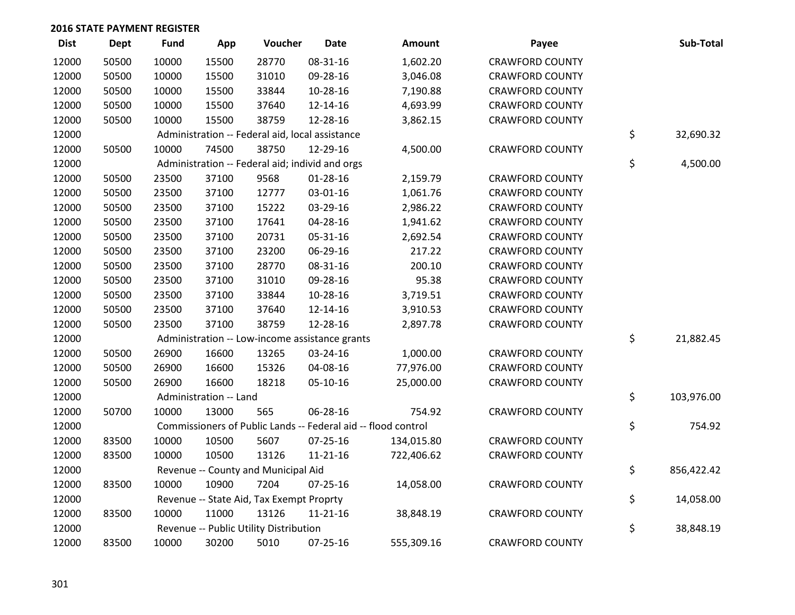| <b>Dist</b> | <b>Dept</b> | <b>Fund</b> | App                    | Voucher                                         | <b>Date</b>    | Amount                                                        | Payee                  | Sub-Total        |
|-------------|-------------|-------------|------------------------|-------------------------------------------------|----------------|---------------------------------------------------------------|------------------------|------------------|
| 12000       | 50500       | 10000       | 15500                  | 28770                                           | 08-31-16       | 1,602.20                                                      | <b>CRAWFORD COUNTY</b> |                  |
| 12000       | 50500       | 10000       | 15500                  | 31010                                           | 09-28-16       | 3,046.08                                                      | <b>CRAWFORD COUNTY</b> |                  |
| 12000       | 50500       | 10000       | 15500                  | 33844                                           | 10-28-16       | 7,190.88                                                      | <b>CRAWFORD COUNTY</b> |                  |
| 12000       | 50500       | 10000       | 15500                  | 37640                                           | 12-14-16       | 4,693.99                                                      | <b>CRAWFORD COUNTY</b> |                  |
| 12000       | 50500       | 10000       | 15500                  | 38759                                           | 12-28-16       | 3,862.15                                                      | <b>CRAWFORD COUNTY</b> |                  |
| 12000       |             |             |                        | Administration -- Federal aid, local assistance |                |                                                               |                        | \$<br>32,690.32  |
| 12000       | 50500       | 10000       | 74500                  | 38750                                           | 12-29-16       | 4,500.00                                                      | <b>CRAWFORD COUNTY</b> |                  |
| 12000       |             |             |                        | Administration -- Federal aid; individ and orgs |                |                                                               |                        | \$<br>4,500.00   |
| 12000       | 50500       | 23500       | 37100                  | 9568                                            | $01 - 28 - 16$ | 2,159.79                                                      | <b>CRAWFORD COUNTY</b> |                  |
| 12000       | 50500       | 23500       | 37100                  | 12777                                           | 03-01-16       | 1,061.76                                                      | <b>CRAWFORD COUNTY</b> |                  |
| 12000       | 50500       | 23500       | 37100                  | 15222                                           | 03-29-16       | 2,986.22                                                      | <b>CRAWFORD COUNTY</b> |                  |
| 12000       | 50500       | 23500       | 37100                  | 17641                                           | 04-28-16       | 1,941.62                                                      | <b>CRAWFORD COUNTY</b> |                  |
| 12000       | 50500       | 23500       | 37100                  | 20731                                           | 05-31-16       | 2,692.54                                                      | <b>CRAWFORD COUNTY</b> |                  |
| 12000       | 50500       | 23500       | 37100                  | 23200                                           | 06-29-16       | 217.22                                                        | <b>CRAWFORD COUNTY</b> |                  |
| 12000       | 50500       | 23500       | 37100                  | 28770                                           | 08-31-16       | 200.10                                                        | <b>CRAWFORD COUNTY</b> |                  |
| 12000       | 50500       | 23500       | 37100                  | 31010                                           | 09-28-16       | 95.38                                                         | <b>CRAWFORD COUNTY</b> |                  |
| 12000       | 50500       | 23500       | 37100                  | 33844                                           | 10-28-16       | 3,719.51                                                      | <b>CRAWFORD COUNTY</b> |                  |
| 12000       | 50500       | 23500       | 37100                  | 37640                                           | 12-14-16       | 3,910.53                                                      | <b>CRAWFORD COUNTY</b> |                  |
| 12000       | 50500       | 23500       | 37100                  | 38759                                           | 12-28-16       | 2,897.78                                                      | <b>CRAWFORD COUNTY</b> |                  |
| 12000       |             |             |                        | Administration -- Low-income assistance grants  |                |                                                               |                        | \$<br>21,882.45  |
| 12000       | 50500       | 26900       | 16600                  | 13265                                           | 03-24-16       | 1,000.00                                                      | <b>CRAWFORD COUNTY</b> |                  |
| 12000       | 50500       | 26900       | 16600                  | 15326                                           | 04-08-16       | 77,976.00                                                     | <b>CRAWFORD COUNTY</b> |                  |
| 12000       | 50500       | 26900       | 16600                  | 18218                                           | 05-10-16       | 25,000.00                                                     | <b>CRAWFORD COUNTY</b> |                  |
| 12000       |             |             | Administration -- Land |                                                 |                |                                                               |                        | \$<br>103,976.00 |
| 12000       | 50700       | 10000       | 13000                  | 565                                             | 06-28-16       | 754.92                                                        | <b>CRAWFORD COUNTY</b> |                  |
| 12000       |             |             |                        |                                                 |                | Commissioners of Public Lands -- Federal aid -- flood control |                        | \$<br>754.92     |
| 12000       | 83500       | 10000       | 10500                  | 5607                                            | 07-25-16       | 134,015.80                                                    | <b>CRAWFORD COUNTY</b> |                  |
| 12000       | 83500       | 10000       | 10500                  | 13126                                           | $11 - 21 - 16$ | 722,406.62                                                    | <b>CRAWFORD COUNTY</b> |                  |
| 12000       |             |             |                        | Revenue -- County and Municipal Aid             |                |                                                               |                        | \$<br>856,422.42 |
| 12000       | 83500       | 10000       | 10900                  | 7204                                            | 07-25-16       | 14,058.00                                                     | <b>CRAWFORD COUNTY</b> |                  |
| 12000       |             |             |                        | Revenue -- State Aid, Tax Exempt Proprty        |                |                                                               |                        | \$<br>14,058.00  |
| 12000       | 83500       | 10000       | 11000                  | 13126                                           | $11 - 21 - 16$ | 38,848.19                                                     | <b>CRAWFORD COUNTY</b> |                  |
| 12000       |             |             |                        | Revenue -- Public Utility Distribution          |                |                                                               |                        | \$<br>38,848.19  |
| 12000       | 83500       | 10000       | 30200                  | 5010                                            | $07 - 25 - 16$ | 555,309.16                                                    | <b>CRAWFORD COUNTY</b> |                  |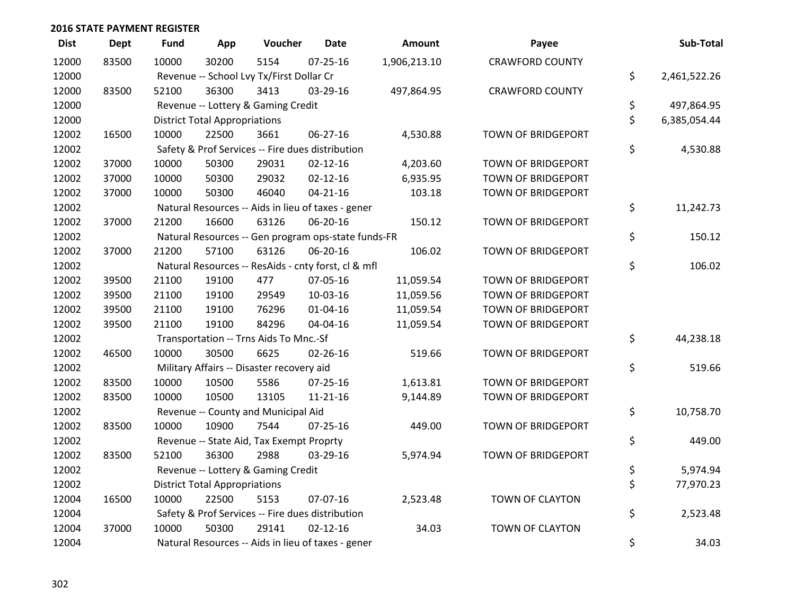| <b>Dist</b> | <b>Dept</b> | <b>Fund</b> | App                                  | Voucher                                             | <b>Date</b>    | Amount       | Payee                     | Sub-Total          |
|-------------|-------------|-------------|--------------------------------------|-----------------------------------------------------|----------------|--------------|---------------------------|--------------------|
| 12000       | 83500       | 10000       | 30200                                | 5154                                                | $07 - 25 - 16$ | 1,906,213.10 | <b>CRAWFORD COUNTY</b>    |                    |
| 12000       |             |             |                                      | Revenue -- School Lvy Tx/First Dollar Cr            |                |              |                           | \$<br>2,461,522.26 |
| 12000       | 83500       | 52100       | 36300                                | 3413                                                | 03-29-16       | 497,864.95   | <b>CRAWFORD COUNTY</b>    |                    |
| 12000       |             |             |                                      | Revenue -- Lottery & Gaming Credit                  |                |              |                           | \$<br>497,864.95   |
| 12000       |             |             | <b>District Total Appropriations</b> |                                                     |                |              |                           | \$<br>6,385,054.44 |
| 12002       | 16500       | 10000       | 22500                                | 3661                                                | 06-27-16       | 4,530.88     | TOWN OF BRIDGEPORT        |                    |
| 12002       |             |             |                                      | Safety & Prof Services -- Fire dues distribution    |                |              |                           | \$<br>4,530.88     |
| 12002       | 37000       | 10000       | 50300                                | 29031                                               | $02 - 12 - 16$ | 4,203.60     | TOWN OF BRIDGEPORT        |                    |
| 12002       | 37000       | 10000       | 50300                                | 29032                                               | $02 - 12 - 16$ | 6,935.95     | TOWN OF BRIDGEPORT        |                    |
| 12002       | 37000       | 10000       | 50300                                | 46040                                               | $04 - 21 - 16$ | 103.18       | TOWN OF BRIDGEPORT        |                    |
| 12002       |             |             |                                      | Natural Resources -- Aids in lieu of taxes - gener  |                |              |                           | \$<br>11,242.73    |
| 12002       | 37000       | 21200       | 16600                                | 63126                                               | 06-20-16       | 150.12       | <b>TOWN OF BRIDGEPORT</b> |                    |
| 12002       |             |             |                                      | Natural Resources -- Gen program ops-state funds-FR |                |              |                           | \$<br>150.12       |
| 12002       | 37000       | 21200       | 57100                                | 63126                                               | 06-20-16       | 106.02       | TOWN OF BRIDGEPORT        |                    |
| 12002       |             |             |                                      | Natural Resources -- ResAids - cnty forst, cl & mfl |                |              |                           | \$<br>106.02       |
| 12002       | 39500       | 21100       | 19100                                | 477                                                 | 07-05-16       | 11,059.54    | <b>TOWN OF BRIDGEPORT</b> |                    |
| 12002       | 39500       | 21100       | 19100                                | 29549                                               | 10-03-16       | 11,059.56    | TOWN OF BRIDGEPORT        |                    |
| 12002       | 39500       | 21100       | 19100                                | 76296                                               | $01 - 04 - 16$ | 11,059.54    | TOWN OF BRIDGEPORT        |                    |
| 12002       | 39500       | 21100       | 19100                                | 84296                                               | 04-04-16       | 11,059.54    | TOWN OF BRIDGEPORT        |                    |
| 12002       |             |             |                                      | Transportation -- Trns Aids To Mnc.-Sf              |                |              |                           | \$<br>44,238.18    |
| 12002       | 46500       | 10000       | 30500                                | 6625                                                | $02 - 26 - 16$ | 519.66       | TOWN OF BRIDGEPORT        |                    |
| 12002       |             |             |                                      | Military Affairs -- Disaster recovery aid           |                |              |                           | \$<br>519.66       |
| 12002       | 83500       | 10000       | 10500                                | 5586                                                | 07-25-16       | 1,613.81     | TOWN OF BRIDGEPORT        |                    |
| 12002       | 83500       | 10000       | 10500                                | 13105                                               | $11 - 21 - 16$ | 9,144.89     | TOWN OF BRIDGEPORT        |                    |
| 12002       |             |             |                                      | Revenue -- County and Municipal Aid                 |                |              |                           | \$<br>10,758.70    |
| 12002       | 83500       | 10000       | 10900                                | 7544                                                | $07 - 25 - 16$ | 449.00       | <b>TOWN OF BRIDGEPORT</b> |                    |
| 12002       |             |             |                                      | Revenue -- State Aid, Tax Exempt Proprty            |                |              |                           | \$<br>449.00       |
| 12002       | 83500       | 52100       | 36300                                | 2988                                                | 03-29-16       | 5,974.94     | TOWN OF BRIDGEPORT        |                    |
| 12002       |             |             |                                      | Revenue -- Lottery & Gaming Credit                  |                |              |                           | \$<br>5,974.94     |
| 12002       |             |             | <b>District Total Appropriations</b> |                                                     |                |              |                           | \$<br>77,970.23    |
| 12004       | 16500       | 10000       | 22500                                | 5153                                                | 07-07-16       | 2,523.48     | TOWN OF CLAYTON           |                    |
| 12004       |             |             |                                      | Safety & Prof Services -- Fire dues distribution    |                |              |                           | \$<br>2,523.48     |
| 12004       | 37000       | 10000       | 50300                                | 29141                                               | $02 - 12 - 16$ | 34.03        | TOWN OF CLAYTON           |                    |
| 12004       |             |             |                                      | Natural Resources -- Aids in lieu of taxes - gener  |                |              |                           | \$<br>34.03        |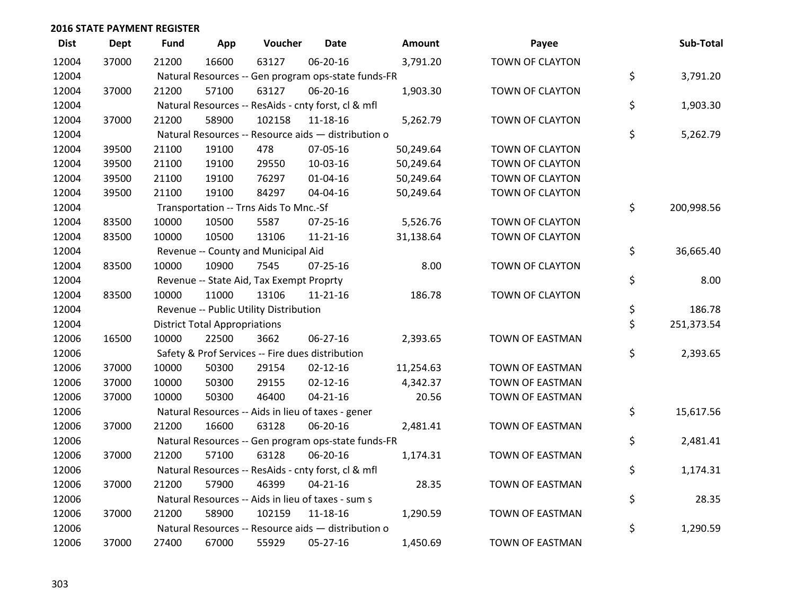| <b>Dist</b> | <b>Dept</b> | <b>Fund</b> | App                                  | Voucher                                  | <b>Date</b>                                         | Amount    | Payee                  | Sub-Total        |
|-------------|-------------|-------------|--------------------------------------|------------------------------------------|-----------------------------------------------------|-----------|------------------------|------------------|
| 12004       | 37000       | 21200       | 16600                                | 63127                                    | 06-20-16                                            | 3,791.20  | <b>TOWN OF CLAYTON</b> |                  |
| 12004       |             |             |                                      |                                          | Natural Resources -- Gen program ops-state funds-FR |           |                        | \$<br>3,791.20   |
| 12004       | 37000       | 21200       | 57100                                | 63127                                    | 06-20-16                                            | 1,903.30  | TOWN OF CLAYTON        |                  |
| 12004       |             |             |                                      |                                          | Natural Resources -- ResAids - cnty forst, cl & mfl |           |                        | \$<br>1,903.30   |
| 12004       | 37000       | 21200       | 58900                                | 102158                                   | 11-18-16                                            | 5,262.79  | TOWN OF CLAYTON        |                  |
| 12004       |             |             |                                      |                                          | Natural Resources -- Resource aids - distribution o |           |                        | \$<br>5,262.79   |
| 12004       | 39500       | 21100       | 19100                                | 478                                      | 07-05-16                                            | 50,249.64 | TOWN OF CLAYTON        |                  |
| 12004       | 39500       | 21100       | 19100                                | 29550                                    | 10-03-16                                            | 50,249.64 | TOWN OF CLAYTON        |                  |
| 12004       | 39500       | 21100       | 19100                                | 76297                                    | $01 - 04 - 16$                                      | 50,249.64 | TOWN OF CLAYTON        |                  |
| 12004       | 39500       | 21100       | 19100                                | 84297                                    | 04-04-16                                            | 50,249.64 | TOWN OF CLAYTON        |                  |
| 12004       |             |             |                                      | Transportation -- Trns Aids To Mnc.-Sf   |                                                     |           |                        | \$<br>200,998.56 |
| 12004       | 83500       | 10000       | 10500                                | 5587                                     | $07 - 25 - 16$                                      | 5,526.76  | TOWN OF CLAYTON        |                  |
| 12004       | 83500       | 10000       | 10500                                | 13106                                    | $11 - 21 - 16$                                      | 31,138.64 | TOWN OF CLAYTON        |                  |
| 12004       |             |             |                                      | Revenue -- County and Municipal Aid      |                                                     |           |                        | \$<br>36,665.40  |
| 12004       | 83500       | 10000       | 10900                                | 7545                                     | 07-25-16                                            | 8.00      | TOWN OF CLAYTON        |                  |
| 12004       |             |             |                                      | Revenue -- State Aid, Tax Exempt Proprty |                                                     |           |                        | \$<br>8.00       |
| 12004       | 83500       | 10000       | 11000                                | 13106                                    | $11 - 21 - 16$                                      | 186.78    | TOWN OF CLAYTON        |                  |
| 12004       |             |             |                                      | Revenue -- Public Utility Distribution   |                                                     |           |                        | \$<br>186.78     |
| 12004       |             |             | <b>District Total Appropriations</b> |                                          |                                                     |           |                        | \$<br>251,373.54 |
| 12006       | 16500       | 10000       | 22500                                | 3662                                     | 06-27-16                                            | 2,393.65  | <b>TOWN OF EASTMAN</b> |                  |
| 12006       |             |             |                                      |                                          | Safety & Prof Services -- Fire dues distribution    |           |                        | \$<br>2,393.65   |
| 12006       | 37000       | 10000       | 50300                                | 29154                                    | $02 - 12 - 16$                                      | 11,254.63 | TOWN OF EASTMAN        |                  |
| 12006       | 37000       | 10000       | 50300                                | 29155                                    | $02 - 12 - 16$                                      | 4,342.37  | TOWN OF EASTMAN        |                  |
| 12006       | 37000       | 10000       | 50300                                | 46400                                    | $04 - 21 - 16$                                      | 20.56     | <b>TOWN OF EASTMAN</b> |                  |
| 12006       |             |             |                                      |                                          | Natural Resources -- Aids in lieu of taxes - gener  |           |                        | \$<br>15,617.56  |
| 12006       | 37000       | 21200       | 16600                                | 63128                                    | 06-20-16                                            | 2,481.41  | TOWN OF EASTMAN        |                  |
| 12006       |             |             |                                      |                                          | Natural Resources -- Gen program ops-state funds-FR |           |                        | \$<br>2,481.41   |
| 12006       | 37000       | 21200       | 57100                                | 63128                                    | 06-20-16                                            | 1,174.31  | TOWN OF EASTMAN        |                  |
| 12006       |             |             |                                      |                                          | Natural Resources -- ResAids - cnty forst, cl & mfl |           |                        | \$<br>1,174.31   |
| 12006       | 37000       | 21200       | 57900                                | 46399                                    | $04 - 21 - 16$                                      | 28.35     | TOWN OF EASTMAN        |                  |
| 12006       |             |             |                                      |                                          | Natural Resources -- Aids in lieu of taxes - sum s  |           |                        | \$<br>28.35      |
| 12006       | 37000       | 21200       | 58900                                | 102159                                   | 11-18-16                                            | 1,290.59  | <b>TOWN OF EASTMAN</b> |                  |
| 12006       |             |             |                                      |                                          | Natural Resources -- Resource aids - distribution o |           |                        | \$<br>1,290.59   |
| 12006       | 37000       | 27400       | 67000                                | 55929                                    | 05-27-16                                            | 1,450.69  | <b>TOWN OF EASTMAN</b> |                  |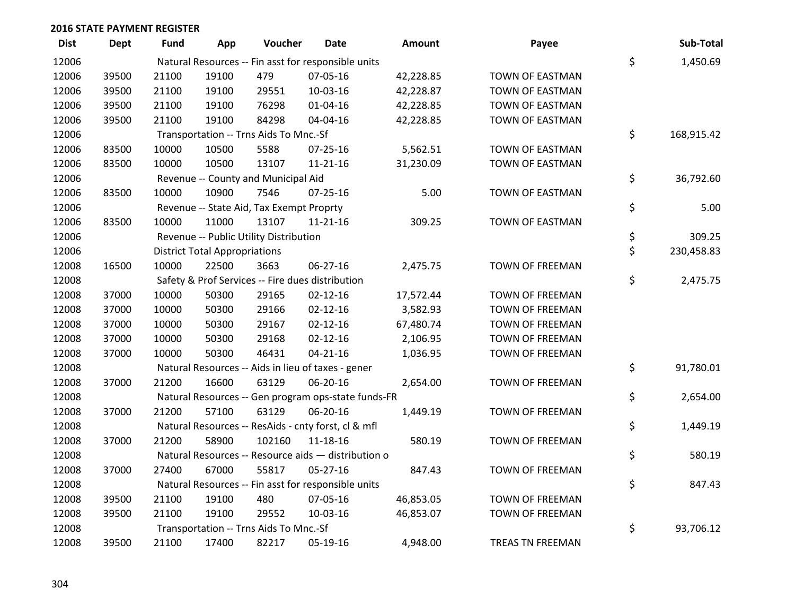| <b>Dist</b> | <b>Dept</b> | <b>Fund</b> | App                                  | Voucher                                  | <b>Date</b>                                         | Amount    | Payee                   | Sub-Total        |
|-------------|-------------|-------------|--------------------------------------|------------------------------------------|-----------------------------------------------------|-----------|-------------------------|------------------|
| 12006       |             |             |                                      |                                          | Natural Resources -- Fin asst for responsible units |           |                         | \$<br>1,450.69   |
| 12006       | 39500       | 21100       | 19100                                | 479                                      | 07-05-16                                            | 42,228.85 | TOWN OF EASTMAN         |                  |
| 12006       | 39500       | 21100       | 19100                                | 29551                                    | 10-03-16                                            | 42,228.87 | <b>TOWN OF EASTMAN</b>  |                  |
| 12006       | 39500       | 21100       | 19100                                | 76298                                    | $01 - 04 - 16$                                      | 42,228.85 | TOWN OF EASTMAN         |                  |
| 12006       | 39500       | 21100       | 19100                                | 84298                                    | 04-04-16                                            | 42,228.85 | TOWN OF EASTMAN         |                  |
| 12006       |             |             |                                      | Transportation -- Trns Aids To Mnc.-Sf   |                                                     |           |                         | \$<br>168,915.42 |
| 12006       | 83500       | 10000       | 10500                                | 5588                                     | $07 - 25 - 16$                                      | 5,562.51  | TOWN OF EASTMAN         |                  |
| 12006       | 83500       | 10000       | 10500                                | 13107                                    | $11 - 21 - 16$                                      | 31,230.09 | <b>TOWN OF EASTMAN</b>  |                  |
| 12006       |             |             |                                      | Revenue -- County and Municipal Aid      |                                                     |           |                         | \$<br>36,792.60  |
| 12006       | 83500       | 10000       | 10900                                | 7546                                     | 07-25-16                                            | 5.00      | TOWN OF EASTMAN         |                  |
| 12006       |             |             |                                      | Revenue -- State Aid, Tax Exempt Proprty |                                                     |           |                         | \$<br>5.00       |
| 12006       | 83500       | 10000       | 11000                                | 13107                                    | $11 - 21 - 16$                                      | 309.25    | TOWN OF EASTMAN         |                  |
| 12006       |             |             |                                      | Revenue -- Public Utility Distribution   |                                                     |           |                         | \$<br>309.25     |
| 12006       |             |             | <b>District Total Appropriations</b> |                                          |                                                     |           |                         | \$<br>230,458.83 |
| 12008       | 16500       | 10000       | 22500                                | 3663                                     | 06-27-16                                            | 2,475.75  | <b>TOWN OF FREEMAN</b>  |                  |
| 12008       |             |             |                                      |                                          | Safety & Prof Services -- Fire dues distribution    |           |                         | \$<br>2,475.75   |
| 12008       | 37000       | 10000       | 50300                                | 29165                                    | $02 - 12 - 16$                                      | 17,572.44 | TOWN OF FREEMAN         |                  |
| 12008       | 37000       | 10000       | 50300                                | 29166                                    | $02 - 12 - 16$                                      | 3,582.93  | TOWN OF FREEMAN         |                  |
| 12008       | 37000       | 10000       | 50300                                | 29167                                    | $02 - 12 - 16$                                      | 67,480.74 | <b>TOWN OF FREEMAN</b>  |                  |
| 12008       | 37000       | 10000       | 50300                                | 29168                                    | $02 - 12 - 16$                                      | 2,106.95  | <b>TOWN OF FREEMAN</b>  |                  |
| 12008       | 37000       | 10000       | 50300                                | 46431                                    | $04 - 21 - 16$                                      | 1,036.95  | <b>TOWN OF FREEMAN</b>  |                  |
| 12008       |             |             |                                      |                                          | Natural Resources -- Aids in lieu of taxes - gener  |           |                         | \$<br>91,780.01  |
| 12008       | 37000       | 21200       | 16600                                | 63129                                    | 06-20-16                                            | 2,654.00  | <b>TOWN OF FREEMAN</b>  |                  |
| 12008       |             |             |                                      |                                          | Natural Resources -- Gen program ops-state funds-FR |           |                         | \$<br>2,654.00   |
| 12008       | 37000       | 21200       | 57100                                | 63129                                    | 06-20-16                                            | 1,449.19  | <b>TOWN OF FREEMAN</b>  |                  |
| 12008       |             |             |                                      |                                          | Natural Resources -- ResAids - cnty forst, cl & mfl |           |                         | \$<br>1,449.19   |
| 12008       | 37000       | 21200       | 58900                                | 102160                                   | 11-18-16                                            | 580.19    | TOWN OF FREEMAN         |                  |
| 12008       |             |             |                                      |                                          | Natural Resources -- Resource aids - distribution o |           |                         | \$<br>580.19     |
| 12008       | 37000       | 27400       | 67000                                | 55817                                    | $05 - 27 - 16$                                      | 847.43    | TOWN OF FREEMAN         |                  |
| 12008       |             |             |                                      |                                          | Natural Resources -- Fin asst for responsible units |           |                         | \$<br>847.43     |
| 12008       | 39500       | 21100       | 19100                                | 480                                      | 07-05-16                                            | 46,853.05 | <b>TOWN OF FREEMAN</b>  |                  |
| 12008       | 39500       | 21100       | 19100                                | 29552                                    | 10-03-16                                            | 46,853.07 | <b>TOWN OF FREEMAN</b>  |                  |
| 12008       |             |             |                                      | Transportation -- Trns Aids To Mnc.-Sf   |                                                     |           |                         | \$<br>93,706.12  |
| 12008       | 39500       | 21100       | 17400                                | 82217                                    | 05-19-16                                            | 4,948.00  | <b>TREAS TN FREEMAN</b> |                  |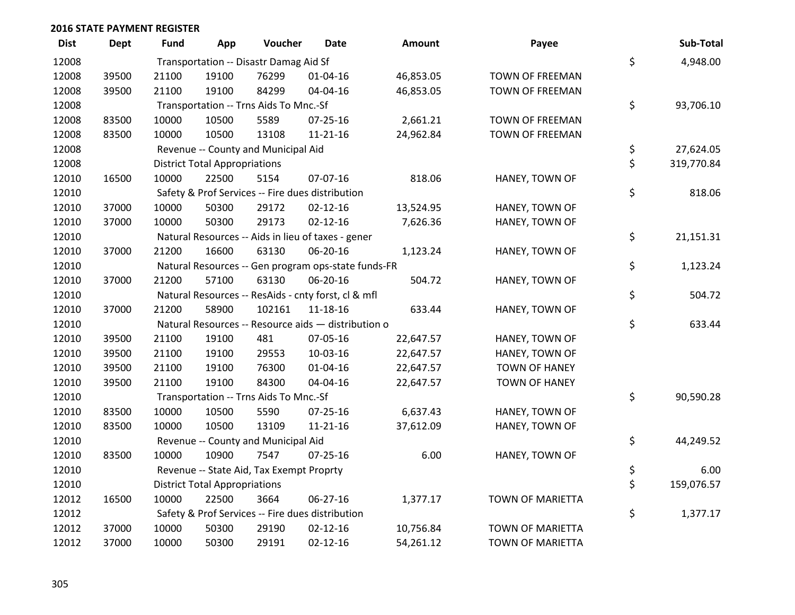| <b>Dist</b> | Dept  | <b>Fund</b> | App                                  | Voucher                                  | Date                                                | <b>Amount</b> | Payee                   | Sub-Total        |
|-------------|-------|-------------|--------------------------------------|------------------------------------------|-----------------------------------------------------|---------------|-------------------------|------------------|
| 12008       |       |             |                                      | Transportation -- Disastr Damag Aid Sf   |                                                     |               |                         | \$<br>4,948.00   |
| 12008       | 39500 | 21100       | 19100                                | 76299                                    | $01 - 04 - 16$                                      | 46,853.05     | TOWN OF FREEMAN         |                  |
| 12008       | 39500 | 21100       | 19100                                | 84299                                    | 04-04-16                                            | 46,853.05     | <b>TOWN OF FREEMAN</b>  |                  |
| 12008       |       |             |                                      | Transportation -- Trns Aids To Mnc.-Sf   |                                                     |               |                         | \$<br>93,706.10  |
| 12008       | 83500 | 10000       | 10500                                | 5589                                     | $07 - 25 - 16$                                      | 2,661.21      | TOWN OF FREEMAN         |                  |
| 12008       | 83500 | 10000       | 10500                                | 13108                                    | $11 - 21 - 16$                                      | 24,962.84     | TOWN OF FREEMAN         |                  |
| 12008       |       |             |                                      | Revenue -- County and Municipal Aid      |                                                     |               |                         | \$<br>27,624.05  |
| 12008       |       |             | <b>District Total Appropriations</b> |                                          |                                                     |               |                         | \$<br>319,770.84 |
| 12010       | 16500 | 10000       | 22500                                | 5154                                     | 07-07-16                                            | 818.06        | HANEY, TOWN OF          |                  |
| 12010       |       |             |                                      |                                          | Safety & Prof Services -- Fire dues distribution    |               |                         | \$<br>818.06     |
| 12010       | 37000 | 10000       | 50300                                | 29172                                    | $02 - 12 - 16$                                      | 13,524.95     | HANEY, TOWN OF          |                  |
| 12010       | 37000 | 10000       | 50300                                | 29173                                    | $02 - 12 - 16$                                      | 7,626.36      | HANEY, TOWN OF          |                  |
| 12010       |       |             |                                      |                                          | Natural Resources -- Aids in lieu of taxes - gener  |               |                         | \$<br>21,151.31  |
| 12010       | 37000 | 21200       | 16600                                | 63130                                    | 06-20-16                                            | 1,123.24      | HANEY, TOWN OF          |                  |
| 12010       |       |             |                                      |                                          | Natural Resources -- Gen program ops-state funds-FR |               |                         | \$<br>1,123.24   |
| 12010       | 37000 | 21200       | 57100                                | 63130                                    | 06-20-16                                            | 504.72        | HANEY, TOWN OF          |                  |
| 12010       |       |             |                                      |                                          | Natural Resources -- ResAids - cnty forst, cl & mfl |               |                         | \$<br>504.72     |
| 12010       | 37000 | 21200       | 58900                                | 102161                                   | $11 - 18 - 16$                                      | 633.44        | HANEY, TOWN OF          |                  |
| 12010       |       |             |                                      |                                          | Natural Resources -- Resource aids - distribution o |               |                         | \$<br>633.44     |
| 12010       | 39500 | 21100       | 19100                                | 481                                      | 07-05-16                                            | 22,647.57     | HANEY, TOWN OF          |                  |
| 12010       | 39500 | 21100       | 19100                                | 29553                                    | 10-03-16                                            | 22,647.57     | HANEY, TOWN OF          |                  |
| 12010       | 39500 | 21100       | 19100                                | 76300                                    | $01 - 04 - 16$                                      | 22,647.57     | <b>TOWN OF HANEY</b>    |                  |
| 12010       | 39500 | 21100       | 19100                                | 84300                                    | 04-04-16                                            | 22,647.57     | <b>TOWN OF HANEY</b>    |                  |
| 12010       |       |             |                                      | Transportation -- Trns Aids To Mnc.-Sf   |                                                     |               |                         | \$<br>90,590.28  |
| 12010       | 83500 | 10000       | 10500                                | 5590                                     | $07 - 25 - 16$                                      | 6,637.43      | HANEY, TOWN OF          |                  |
| 12010       | 83500 | 10000       | 10500                                | 13109                                    | $11 - 21 - 16$                                      | 37,612.09     | HANEY, TOWN OF          |                  |
| 12010       |       |             |                                      | Revenue -- County and Municipal Aid      |                                                     |               |                         | \$<br>44,249.52  |
| 12010       | 83500 | 10000       | 10900                                | 7547                                     | $07 - 25 - 16$                                      | 6.00          | HANEY, TOWN OF          |                  |
| 12010       |       |             |                                      | Revenue -- State Aid, Tax Exempt Proprty |                                                     |               |                         | \$<br>6.00       |
| 12010       |       |             | <b>District Total Appropriations</b> |                                          |                                                     |               |                         | \$<br>159,076.57 |
| 12012       | 16500 | 10000       | 22500                                | 3664                                     | 06-27-16                                            | 1,377.17      | TOWN OF MARIETTA        |                  |
| 12012       |       |             |                                      |                                          | Safety & Prof Services -- Fire dues distribution    |               |                         | \$<br>1,377.17   |
| 12012       | 37000 | 10000       | 50300                                | 29190                                    | $02 - 12 - 16$                                      | 10,756.84     | TOWN OF MARIETTA        |                  |
| 12012       | 37000 | 10000       | 50300                                | 29191                                    | $02 - 12 - 16$                                      | 54,261.12     | <b>TOWN OF MARIETTA</b> |                  |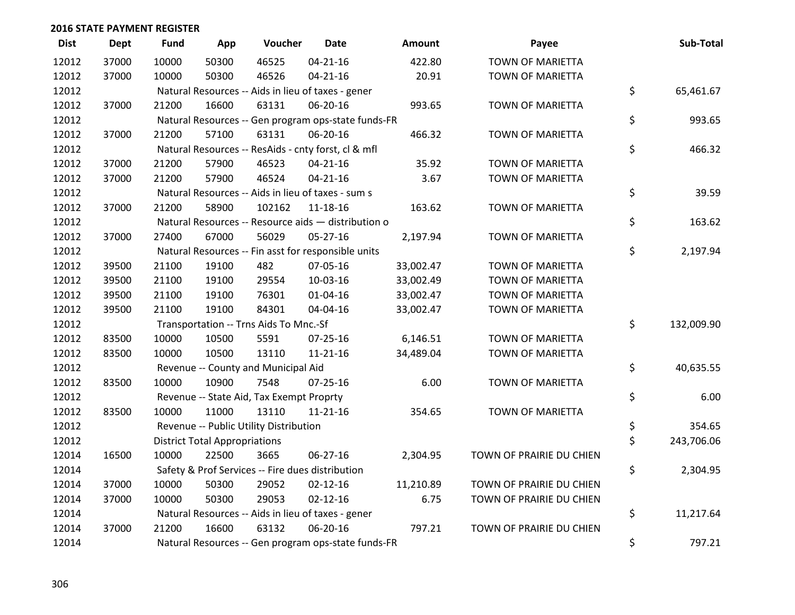| <b>Dist</b> | <b>Dept</b> | <b>Fund</b> | App                                  | Voucher                                             | Date           | <b>Amount</b> | Payee                    | Sub-Total        |
|-------------|-------------|-------------|--------------------------------------|-----------------------------------------------------|----------------|---------------|--------------------------|------------------|
| 12012       | 37000       | 10000       | 50300                                | 46525                                               | $04 - 21 - 16$ | 422.80        | <b>TOWN OF MARIETTA</b>  |                  |
| 12012       | 37000       | 10000       | 50300                                | 46526                                               | $04 - 21 - 16$ | 20.91         | TOWN OF MARIETTA         |                  |
| 12012       |             |             |                                      | Natural Resources -- Aids in lieu of taxes - gener  |                |               |                          | \$<br>65,461.67  |
| 12012       | 37000       | 21200       | 16600                                | 63131                                               | 06-20-16       | 993.65        | <b>TOWN OF MARIETTA</b>  |                  |
| 12012       |             |             |                                      | Natural Resources -- Gen program ops-state funds-FR |                |               |                          | \$<br>993.65     |
| 12012       | 37000       | 21200       | 57100                                | 63131                                               | 06-20-16       | 466.32        | TOWN OF MARIETTA         |                  |
| 12012       |             |             |                                      | Natural Resources -- ResAids - cnty forst, cl & mfl |                |               |                          | \$<br>466.32     |
| 12012       | 37000       | 21200       | 57900                                | 46523                                               | $04 - 21 - 16$ | 35.92         | <b>TOWN OF MARIETTA</b>  |                  |
| 12012       | 37000       | 21200       | 57900                                | 46524                                               | $04 - 21 - 16$ | 3.67          | <b>TOWN OF MARIETTA</b>  |                  |
| 12012       |             |             |                                      | Natural Resources -- Aids in lieu of taxes - sum s  |                |               |                          | \$<br>39.59      |
| 12012       | 37000       | 21200       | 58900                                | 102162                                              | $11 - 18 - 16$ | 163.62        | TOWN OF MARIETTA         |                  |
| 12012       |             |             |                                      | Natural Resources -- Resource aids - distribution o |                |               |                          | \$<br>163.62     |
| 12012       | 37000       | 27400       | 67000                                | 56029                                               | $05 - 27 - 16$ | 2,197.94      | <b>TOWN OF MARIETTA</b>  |                  |
| 12012       |             |             |                                      | Natural Resources -- Fin asst for responsible units |                |               |                          | \$<br>2,197.94   |
| 12012       | 39500       | 21100       | 19100                                | 482                                                 | 07-05-16       | 33,002.47     | TOWN OF MARIETTA         |                  |
| 12012       | 39500       | 21100       | 19100                                | 29554                                               | 10-03-16       | 33,002.49     | TOWN OF MARIETTA         |                  |
| 12012       | 39500       | 21100       | 19100                                | 76301                                               | 01-04-16       | 33,002.47     | TOWN OF MARIETTA         |                  |
| 12012       | 39500       | 21100       | 19100                                | 84301                                               | 04-04-16       | 33,002.47     | <b>TOWN OF MARIETTA</b>  |                  |
| 12012       |             |             |                                      | Transportation -- Trns Aids To Mnc.-Sf              |                |               |                          | \$<br>132,009.90 |
| 12012       | 83500       | 10000       | 10500                                | 5591                                                | 07-25-16       | 6,146.51      | TOWN OF MARIETTA         |                  |
| 12012       | 83500       | 10000       | 10500                                | 13110                                               | $11 - 21 - 16$ | 34,489.04     | TOWN OF MARIETTA         |                  |
| 12012       |             |             |                                      | Revenue -- County and Municipal Aid                 |                |               |                          | \$<br>40,635.55  |
| 12012       | 83500       | 10000       | 10900                                | 7548                                                | $07 - 25 - 16$ | 6.00          | <b>TOWN OF MARIETTA</b>  |                  |
| 12012       |             |             |                                      | Revenue -- State Aid, Tax Exempt Proprty            |                |               |                          | \$<br>6.00       |
| 12012       | 83500       | 10000       | 11000                                | 13110                                               | $11 - 21 - 16$ | 354.65        | TOWN OF MARIETTA         |                  |
| 12012       |             |             |                                      | Revenue -- Public Utility Distribution              |                |               |                          | \$<br>354.65     |
| 12012       |             |             | <b>District Total Appropriations</b> |                                                     |                |               |                          | \$<br>243,706.06 |
| 12014       | 16500       | 10000       | 22500                                | 3665                                                | 06-27-16       | 2,304.95      | TOWN OF PRAIRIE DU CHIEN |                  |
| 12014       |             |             |                                      | Safety & Prof Services -- Fire dues distribution    |                |               |                          | \$<br>2,304.95   |
| 12014       | 37000       | 10000       | 50300                                | 29052                                               | $02 - 12 - 16$ | 11,210.89     | TOWN OF PRAIRIE DU CHIEN |                  |
| 12014       | 37000       | 10000       | 50300                                | 29053                                               | $02 - 12 - 16$ | 6.75          | TOWN OF PRAIRIE DU CHIEN |                  |
| 12014       |             |             |                                      | Natural Resources -- Aids in lieu of taxes - gener  |                |               |                          | \$<br>11,217.64  |
| 12014       | 37000       | 21200       | 16600                                | 63132                                               | 06-20-16       | 797.21        | TOWN OF PRAIRIE DU CHIEN |                  |
| 12014       |             |             |                                      | Natural Resources -- Gen program ops-state funds-FR |                |               |                          | \$<br>797.21     |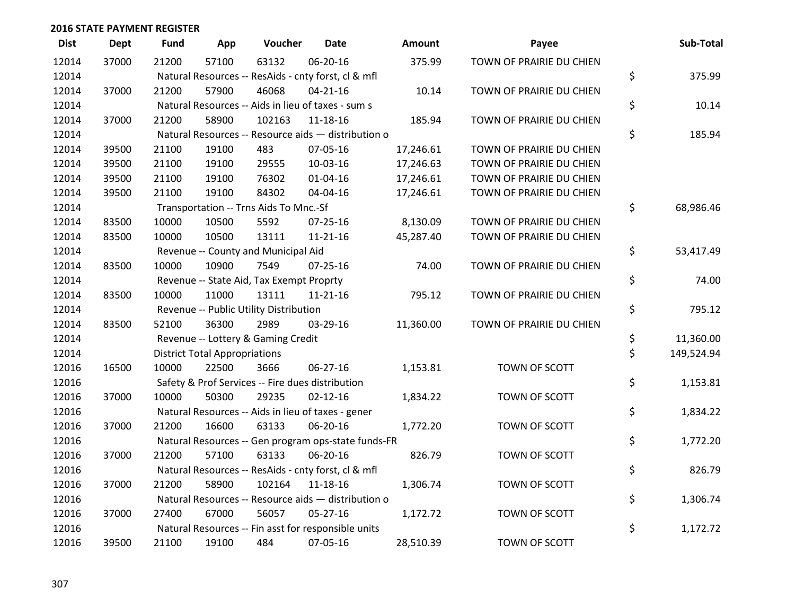| <b>Dist</b> | <b>Dept</b> | <b>Fund</b> | App                                  | Voucher                                             | Date           | <b>Amount</b> | Payee                    | Sub-Total        |
|-------------|-------------|-------------|--------------------------------------|-----------------------------------------------------|----------------|---------------|--------------------------|------------------|
| 12014       | 37000       | 21200       | 57100                                | 63132                                               | 06-20-16       | 375.99        | TOWN OF PRAIRIE DU CHIEN |                  |
| 12014       |             |             |                                      | Natural Resources -- ResAids - cnty forst, cl & mfl |                |               |                          | \$<br>375.99     |
| 12014       | 37000       | 21200       | 57900                                | 46068                                               | $04 - 21 - 16$ | 10.14         | TOWN OF PRAIRIE DU CHIEN |                  |
| 12014       |             |             |                                      | Natural Resources -- Aids in lieu of taxes - sum s  |                |               |                          | \$<br>10.14      |
| 12014       | 37000       | 21200       | 58900                                | 102163                                              | $11 - 18 - 16$ | 185.94        | TOWN OF PRAIRIE DU CHIEN |                  |
| 12014       |             |             |                                      | Natural Resources -- Resource aids - distribution o |                |               |                          | \$<br>185.94     |
| 12014       | 39500       | 21100       | 19100                                | 483                                                 | 07-05-16       | 17,246.61     | TOWN OF PRAIRIE DU CHIEN |                  |
| 12014       | 39500       | 21100       | 19100                                | 29555                                               | 10-03-16       | 17,246.63     | TOWN OF PRAIRIE DU CHIEN |                  |
| 12014       | 39500       | 21100       | 19100                                | 76302                                               | $01 - 04 - 16$ | 17,246.61     | TOWN OF PRAIRIE DU CHIEN |                  |
| 12014       | 39500       | 21100       | 19100                                | 84302                                               | 04-04-16       | 17,246.61     | TOWN OF PRAIRIE DU CHIEN |                  |
| 12014       |             |             |                                      | Transportation -- Trns Aids To Mnc.-Sf              |                |               |                          | \$<br>68,986.46  |
| 12014       | 83500       | 10000       | 10500                                | 5592                                                | $07 - 25 - 16$ | 8,130.09      | TOWN OF PRAIRIE DU CHIEN |                  |
| 12014       | 83500       | 10000       | 10500                                | 13111                                               | $11 - 21 - 16$ | 45,287.40     | TOWN OF PRAIRIE DU CHIEN |                  |
| 12014       |             |             |                                      | Revenue -- County and Municipal Aid                 |                |               |                          | \$<br>53,417.49  |
| 12014       | 83500       | 10000       | 10900                                | 7549                                                | 07-25-16       | 74.00         | TOWN OF PRAIRIE DU CHIEN |                  |
| 12014       |             |             |                                      | Revenue -- State Aid, Tax Exempt Proprty            |                |               |                          | \$<br>74.00      |
| 12014       | 83500       | 10000       | 11000                                | 13111                                               | $11 - 21 - 16$ | 795.12        | TOWN OF PRAIRIE DU CHIEN |                  |
| 12014       |             |             |                                      | Revenue -- Public Utility Distribution              |                |               |                          | \$<br>795.12     |
| 12014       | 83500       | 52100       | 36300                                | 2989                                                | 03-29-16       | 11,360.00     | TOWN OF PRAIRIE DU CHIEN |                  |
| 12014       |             |             |                                      | Revenue -- Lottery & Gaming Credit                  |                |               |                          | \$<br>11,360.00  |
| 12014       |             |             | <b>District Total Appropriations</b> |                                                     |                |               |                          | \$<br>149,524.94 |
| 12016       | 16500       | 10000       | 22500                                | 3666                                                | 06-27-16       | 1,153.81      | TOWN OF SCOTT            |                  |
| 12016       |             |             |                                      | Safety & Prof Services -- Fire dues distribution    |                |               |                          | \$<br>1,153.81   |
| 12016       | 37000       | 10000       | 50300                                | 29235                                               | $02 - 12 - 16$ | 1,834.22      | TOWN OF SCOTT            |                  |
| 12016       |             |             |                                      | Natural Resources -- Aids in lieu of taxes - gener  |                |               |                          | \$<br>1,834.22   |
| 12016       | 37000       | 21200       | 16600                                | 63133                                               | 06-20-16       | 1,772.20      | TOWN OF SCOTT            |                  |
| 12016       |             |             |                                      | Natural Resources -- Gen program ops-state funds-FR |                |               |                          | \$<br>1,772.20   |
| 12016       | 37000       | 21200       | 57100                                | 63133                                               | 06-20-16       | 826.79        | TOWN OF SCOTT            |                  |
| 12016       |             |             |                                      | Natural Resources -- ResAids - cnty forst, cl & mfl |                |               |                          | \$<br>826.79     |
| 12016       | 37000       | 21200       | 58900                                | 102164                                              | 11-18-16       | 1,306.74      | TOWN OF SCOTT            |                  |
| 12016       |             |             |                                      | Natural Resources -- Resource aids - distribution o |                |               |                          | \$<br>1,306.74   |
| 12016       | 37000       | 27400       | 67000                                | 56057                                               | $05 - 27 - 16$ | 1,172.72      | TOWN OF SCOTT            |                  |
| 12016       |             |             |                                      | Natural Resources -- Fin asst for responsible units |                |               |                          | \$<br>1,172.72   |
| 12016       | 39500       | 21100       | 19100                                | 484                                                 | 07-05-16       | 28,510.39     | <b>TOWN OF SCOTT</b>     |                  |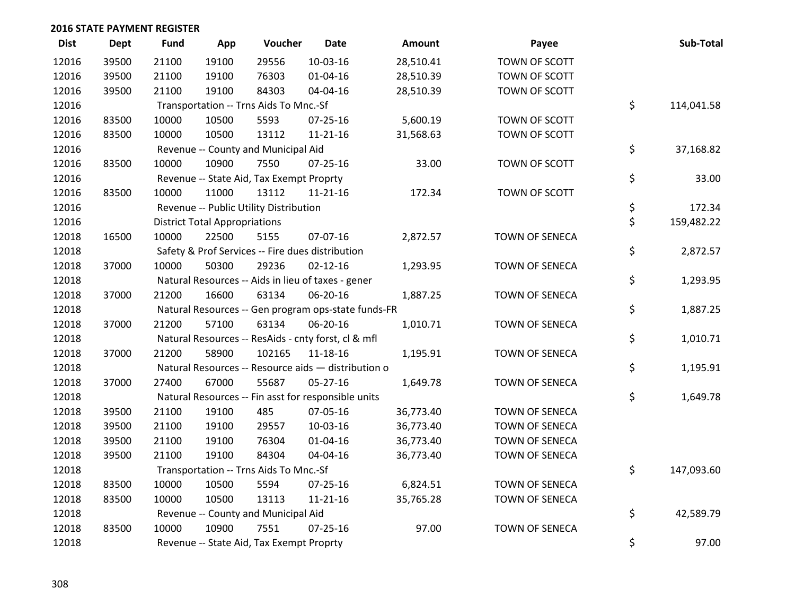| <b>Dist</b> | <b>Dept</b> | <b>Fund</b> | App                                  | Voucher                                  | <b>Date</b>                                         | Amount    | Payee          | Sub-Total        |
|-------------|-------------|-------------|--------------------------------------|------------------------------------------|-----------------------------------------------------|-----------|----------------|------------------|
| 12016       | 39500       | 21100       | 19100                                | 29556                                    | $10-03-16$                                          | 28,510.41 | TOWN OF SCOTT  |                  |
| 12016       | 39500       | 21100       | 19100                                | 76303                                    | $01 - 04 - 16$                                      | 28,510.39 | TOWN OF SCOTT  |                  |
| 12016       | 39500       | 21100       | 19100                                | 84303                                    | 04-04-16                                            | 28,510.39 | TOWN OF SCOTT  |                  |
| 12016       |             |             |                                      | Transportation -- Trns Aids To Mnc.-Sf   |                                                     |           |                | \$<br>114,041.58 |
| 12016       | 83500       | 10000       | 10500                                | 5593                                     | 07-25-16                                            | 5,600.19  | TOWN OF SCOTT  |                  |
| 12016       | 83500       | 10000       | 10500                                | 13112                                    | $11 - 21 - 16$                                      | 31,568.63 | TOWN OF SCOTT  |                  |
| 12016       |             |             |                                      | Revenue -- County and Municipal Aid      |                                                     |           |                | \$<br>37,168.82  |
| 12016       | 83500       | 10000       | 10900                                | 7550                                     | $07 - 25 - 16$                                      | 33.00     | TOWN OF SCOTT  |                  |
| 12016       |             |             |                                      | Revenue -- State Aid, Tax Exempt Proprty |                                                     |           |                | \$<br>33.00      |
| 12016       | 83500       | 10000       | 11000                                | 13112                                    | $11 - 21 - 16$                                      | 172.34    | TOWN OF SCOTT  |                  |
| 12016       |             |             |                                      | Revenue -- Public Utility Distribution   |                                                     |           |                | \$<br>172.34     |
| 12016       |             |             | <b>District Total Appropriations</b> |                                          |                                                     |           |                | \$<br>159,482.22 |
| 12018       | 16500       | 10000       | 22500                                | 5155                                     | 07-07-16                                            | 2,872.57  | TOWN OF SENECA |                  |
| 12018       |             |             |                                      |                                          | Safety & Prof Services -- Fire dues distribution    |           |                | \$<br>2,872.57   |
| 12018       | 37000       | 10000       | 50300                                | 29236                                    | $02 - 12 - 16$                                      | 1,293.95  | TOWN OF SENECA |                  |
| 12018       |             |             |                                      |                                          | Natural Resources -- Aids in lieu of taxes - gener  |           |                | \$<br>1,293.95   |
| 12018       | 37000       | 21200       | 16600                                | 63134                                    | 06-20-16                                            | 1,887.25  | TOWN OF SENECA |                  |
| 12018       |             |             |                                      |                                          | Natural Resources -- Gen program ops-state funds-FR |           |                | \$<br>1,887.25   |
| 12018       | 37000       | 21200       | 57100                                | 63134                                    | 06-20-16                                            | 1,010.71  | TOWN OF SENECA |                  |
| 12018       |             |             |                                      |                                          | Natural Resources -- ResAids - cnty forst, cl & mfl |           |                | \$<br>1,010.71   |
| 12018       | 37000       | 21200       | 58900                                | 102165                                   | $11 - 18 - 16$                                      | 1,195.91  | TOWN OF SENECA |                  |
| 12018       |             |             |                                      |                                          | Natural Resources -- Resource aids - distribution o |           |                | \$<br>1,195.91   |
| 12018       | 37000       | 27400       | 67000                                | 55687                                    | 05-27-16                                            | 1,649.78  | TOWN OF SENECA |                  |
| 12018       |             |             |                                      |                                          | Natural Resources -- Fin asst for responsible units |           |                | \$<br>1,649.78   |
| 12018       | 39500       | 21100       | 19100                                | 485                                      | 07-05-16                                            | 36,773.40 | TOWN OF SENECA |                  |
| 12018       | 39500       | 21100       | 19100                                | 29557                                    | 10-03-16                                            | 36,773.40 | TOWN OF SENECA |                  |
| 12018       | 39500       | 21100       | 19100                                | 76304                                    | 01-04-16                                            | 36,773.40 | TOWN OF SENECA |                  |
| 12018       | 39500       | 21100       | 19100                                | 84304                                    | 04-04-16                                            | 36,773.40 | TOWN OF SENECA |                  |
| 12018       |             |             |                                      | Transportation -- Trns Aids To Mnc.-Sf   |                                                     |           |                | \$<br>147,093.60 |
| 12018       | 83500       | 10000       | 10500                                | 5594                                     | 07-25-16                                            | 6,824.51  | TOWN OF SENECA |                  |
| 12018       | 83500       | 10000       | 10500                                | 13113                                    | 11-21-16                                            | 35,765.28 | TOWN OF SENECA |                  |
| 12018       |             |             |                                      | Revenue -- County and Municipal Aid      |                                                     |           |                | \$<br>42,589.79  |
| 12018       | 83500       | 10000       | 10900                                | 7551                                     | $07 - 25 - 16$                                      | 97.00     | TOWN OF SENECA |                  |
| 12018       |             |             |                                      | Revenue -- State Aid, Tax Exempt Proprty |                                                     |           |                | \$<br>97.00      |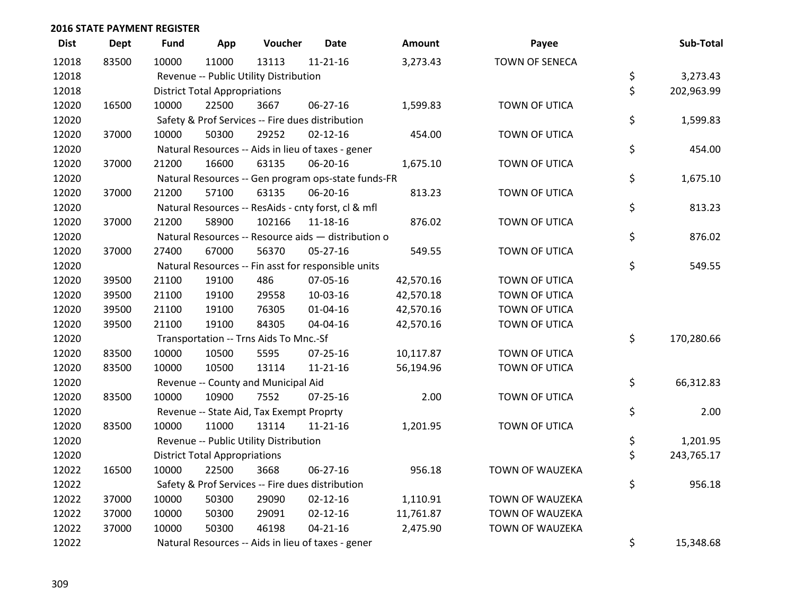| <b>Dist</b> | <b>Dept</b> | Fund  | App                                                | Voucher                                             | <b>Date</b>    | <b>Amount</b> | Payee                  | Sub-Total        |
|-------------|-------------|-------|----------------------------------------------------|-----------------------------------------------------|----------------|---------------|------------------------|------------------|
| 12018       | 83500       | 10000 | 11000                                              | 13113                                               | $11 - 21 - 16$ | 3,273.43      | <b>TOWN OF SENECA</b>  |                  |
| 12018       |             |       |                                                    | Revenue -- Public Utility Distribution              |                |               |                        | \$<br>3,273.43   |
| 12018       |             |       | <b>District Total Appropriations</b>               |                                                     |                |               |                        | \$<br>202,963.99 |
| 12020       | 16500       | 10000 | 22500                                              | 3667                                                | 06-27-16       | 1,599.83      | TOWN OF UTICA          |                  |
| 12020       |             |       |                                                    | Safety & Prof Services -- Fire dues distribution    |                |               |                        | \$<br>1,599.83   |
| 12020       | 37000       | 10000 | 50300                                              | 29252                                               | $02 - 12 - 16$ | 454.00        | TOWN OF UTICA          |                  |
| 12020       |             |       |                                                    | Natural Resources -- Aids in lieu of taxes - gener  |                |               |                        | \$<br>454.00     |
| 12020       | 37000       | 21200 | 16600                                              | 63135                                               | 06-20-16       | 1,675.10      | TOWN OF UTICA          |                  |
| 12020       |             |       |                                                    | Natural Resources -- Gen program ops-state funds-FR |                |               |                        | \$<br>1,675.10   |
| 12020       | 37000       | 21200 | 57100                                              | 63135                                               | 06-20-16       | 813.23        | TOWN OF UTICA          |                  |
| 12020       |             |       |                                                    | Natural Resources -- ResAids - cnty forst, cl & mfl |                |               |                        | \$<br>813.23     |
| 12020       | 37000       | 21200 | 58900                                              | 102166                                              | 11-18-16       | 876.02        | TOWN OF UTICA          |                  |
| 12020       |             |       |                                                    | Natural Resources -- Resource aids - distribution o |                |               |                        | \$<br>876.02     |
| 12020       | 37000       | 27400 | 67000                                              | 56370                                               | 05-27-16       | 549.55        | TOWN OF UTICA          |                  |
| 12020       |             |       |                                                    | Natural Resources -- Fin asst for responsible units |                |               |                        | \$<br>549.55     |
| 12020       | 39500       | 21100 | 19100                                              | 486                                                 | 07-05-16       | 42,570.16     | TOWN OF UTICA          |                  |
| 12020       | 39500       | 21100 | 19100                                              | 29558                                               | 10-03-16       | 42,570.18     | TOWN OF UTICA          |                  |
| 12020       | 39500       | 21100 | 19100                                              | 76305                                               | $01 - 04 - 16$ | 42,570.16     | TOWN OF UTICA          |                  |
| 12020       | 39500       | 21100 | 19100                                              | 84305                                               | 04-04-16       | 42,570.16     | TOWN OF UTICA          |                  |
| 12020       |             |       |                                                    | Transportation -- Trns Aids To Mnc.-Sf              |                |               |                        | \$<br>170,280.66 |
| 12020       | 83500       | 10000 | 10500                                              | 5595                                                | 07-25-16       | 10,117.87     | TOWN OF UTICA          |                  |
| 12020       | 83500       | 10000 | 10500                                              | 13114                                               | $11 - 21 - 16$ | 56,194.96     | TOWN OF UTICA          |                  |
| 12020       |             |       |                                                    | Revenue -- County and Municipal Aid                 |                |               |                        | \$<br>66,312.83  |
| 12020       | 83500       | 10000 | 10900                                              | 7552                                                | $07 - 25 - 16$ | 2.00          | TOWN OF UTICA          |                  |
| 12020       |             |       |                                                    | Revenue -- State Aid, Tax Exempt Proprty            |                |               |                        | \$<br>2.00       |
| 12020       | 83500       | 10000 | 11000                                              | 13114                                               | $11 - 21 - 16$ | 1,201.95      | TOWN OF UTICA          |                  |
| 12020       |             |       |                                                    | Revenue -- Public Utility Distribution              |                |               |                        | \$<br>1,201.95   |
| 12020       |             |       | <b>District Total Appropriations</b>               |                                                     |                |               |                        | \$<br>243,765.17 |
| 12022       | 16500       | 10000 | 22500                                              | 3668                                                | 06-27-16       | 956.18        | TOWN OF WAUZEKA        |                  |
| 12022       |             |       |                                                    | Safety & Prof Services -- Fire dues distribution    |                |               |                        | \$<br>956.18     |
| 12022       | 37000       | 10000 | 50300                                              | 29090                                               | $02 - 12 - 16$ | 1,110.91      | <b>TOWN OF WAUZEKA</b> |                  |
| 12022       | 37000       | 10000 | 50300                                              | 29091                                               | $02 - 12 - 16$ | 11,761.87     | <b>TOWN OF WAUZEKA</b> |                  |
| 12022       | 37000       | 10000 | 50300                                              | 46198                                               | $04 - 21 - 16$ | 2,475.90      | TOWN OF WAUZEKA        |                  |
| 12022       |             |       | Natural Resources -- Aids in lieu of taxes - gener | \$<br>15,348.68                                     |                |               |                        |                  |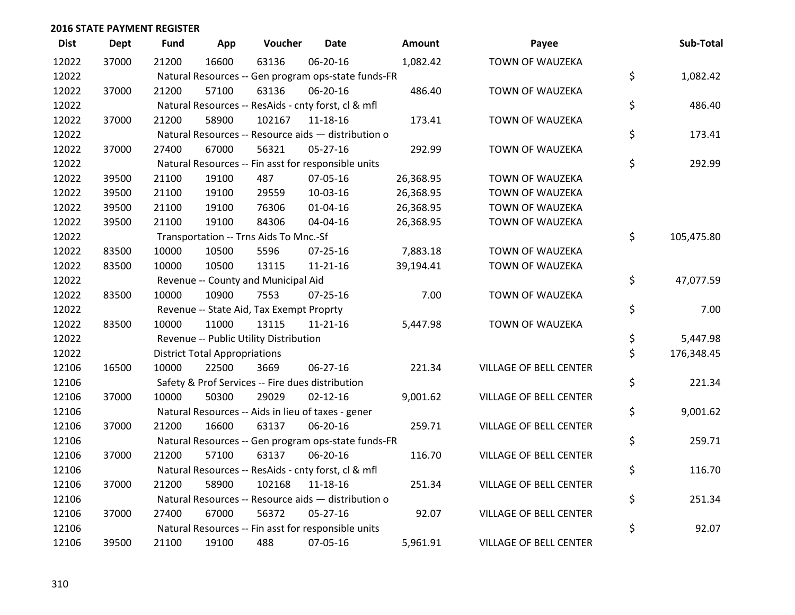| <b>Dist</b> | <b>Dept</b> | <b>Fund</b> | App                                  | Voucher                                             | Date           | <b>Amount</b> | Payee                         | Sub-Total        |
|-------------|-------------|-------------|--------------------------------------|-----------------------------------------------------|----------------|---------------|-------------------------------|------------------|
| 12022       | 37000       | 21200       | 16600                                | 63136                                               | 06-20-16       | 1,082.42      | <b>TOWN OF WAUZEKA</b>        |                  |
| 12022       |             |             |                                      | Natural Resources -- Gen program ops-state funds-FR |                |               |                               | \$<br>1,082.42   |
| 12022       | 37000       | 21200       | 57100                                | 63136                                               | 06-20-16       | 486.40        | TOWN OF WAUZEKA               |                  |
| 12022       |             |             |                                      | Natural Resources -- ResAids - cnty forst, cl & mfl |                |               |                               | \$<br>486.40     |
| 12022       | 37000       | 21200       | 58900                                | 102167                                              | 11-18-16       | 173.41        | TOWN OF WAUZEKA               |                  |
| 12022       |             |             |                                      | Natural Resources -- Resource aids - distribution o |                |               |                               | \$<br>173.41     |
| 12022       | 37000       | 27400       | 67000                                | 56321                                               | $05 - 27 - 16$ | 292.99        | TOWN OF WAUZEKA               |                  |
| 12022       |             |             |                                      | Natural Resources -- Fin asst for responsible units |                |               |                               | \$<br>292.99     |
| 12022       | 39500       | 21100       | 19100                                | 487                                                 | 07-05-16       | 26,368.95     | <b>TOWN OF WAUZEKA</b>        |                  |
| 12022       | 39500       | 21100       | 19100                                | 29559                                               | 10-03-16       | 26,368.95     | <b>TOWN OF WAUZEKA</b>        |                  |
| 12022       | 39500       | 21100       | 19100                                | 76306                                               | $01 - 04 - 16$ | 26,368.95     | TOWN OF WAUZEKA               |                  |
| 12022       | 39500       | 21100       | 19100                                | 84306                                               | 04-04-16       | 26,368.95     | TOWN OF WAUZEKA               |                  |
| 12022       |             |             |                                      | Transportation -- Trns Aids To Mnc.-Sf              |                |               |                               | \$<br>105,475.80 |
| 12022       | 83500       | 10000       | 10500                                | 5596                                                | $07 - 25 - 16$ | 7,883.18      | <b>TOWN OF WAUZEKA</b>        |                  |
| 12022       | 83500       | 10000       | 10500                                | 13115                                               | $11 - 21 - 16$ | 39,194.41     | TOWN OF WAUZEKA               |                  |
| 12022       |             |             |                                      | Revenue -- County and Municipal Aid                 |                |               |                               | \$<br>47,077.59  |
| 12022       | 83500       | 10000       | 10900                                | 7553                                                | 07-25-16       | 7.00          | TOWN OF WAUZEKA               |                  |
| 12022       |             |             |                                      | Revenue -- State Aid, Tax Exempt Proprty            |                |               |                               | \$<br>7.00       |
| 12022       | 83500       | 10000       | 11000                                | 13115                                               | $11 - 21 - 16$ | 5,447.98      | <b>TOWN OF WAUZEKA</b>        |                  |
| 12022       |             |             |                                      | Revenue -- Public Utility Distribution              |                |               |                               | \$<br>5,447.98   |
| 12022       |             |             | <b>District Total Appropriations</b> |                                                     |                |               |                               | \$<br>176,348.45 |
| 12106       | 16500       | 10000       | 22500                                | 3669                                                | $06 - 27 - 16$ | 221.34        | <b>VILLAGE OF BELL CENTER</b> |                  |
| 12106       |             |             |                                      | Safety & Prof Services -- Fire dues distribution    |                |               |                               | \$<br>221.34     |
| 12106       | 37000       | 10000       | 50300                                | 29029                                               | $02 - 12 - 16$ | 9,001.62      | VILLAGE OF BELL CENTER        |                  |
| 12106       |             |             |                                      | Natural Resources -- Aids in lieu of taxes - gener  |                |               |                               | \$<br>9,001.62   |
| 12106       | 37000       | 21200       | 16600                                | 63137                                               | 06-20-16       | 259.71        | VILLAGE OF BELL CENTER        |                  |
| 12106       |             |             |                                      | Natural Resources -- Gen program ops-state funds-FR |                |               |                               | \$<br>259.71     |
| 12106       | 37000       | 21200       | 57100                                | 63137                                               | 06-20-16       | 116.70        | VILLAGE OF BELL CENTER        |                  |
| 12106       |             |             |                                      | Natural Resources -- ResAids - cnty forst, cl & mfl |                |               |                               | \$<br>116.70     |
| 12106       | 37000       | 21200       | 58900                                | 102168                                              | 11-18-16       | 251.34        | VILLAGE OF BELL CENTER        |                  |
| 12106       |             |             |                                      | Natural Resources -- Resource aids - distribution o |                |               |                               | \$<br>251.34     |
| 12106       | 37000       | 27400       | 67000                                | 56372                                               | $05 - 27 - 16$ | 92.07         | <b>VILLAGE OF BELL CENTER</b> |                  |
| 12106       |             |             |                                      | Natural Resources -- Fin asst for responsible units |                |               |                               | \$<br>92.07      |
| 12106       | 39500       | 21100       | 19100                                | 488                                                 | 07-05-16       | 5,961.91      | <b>VILLAGE OF BELL CENTER</b> |                  |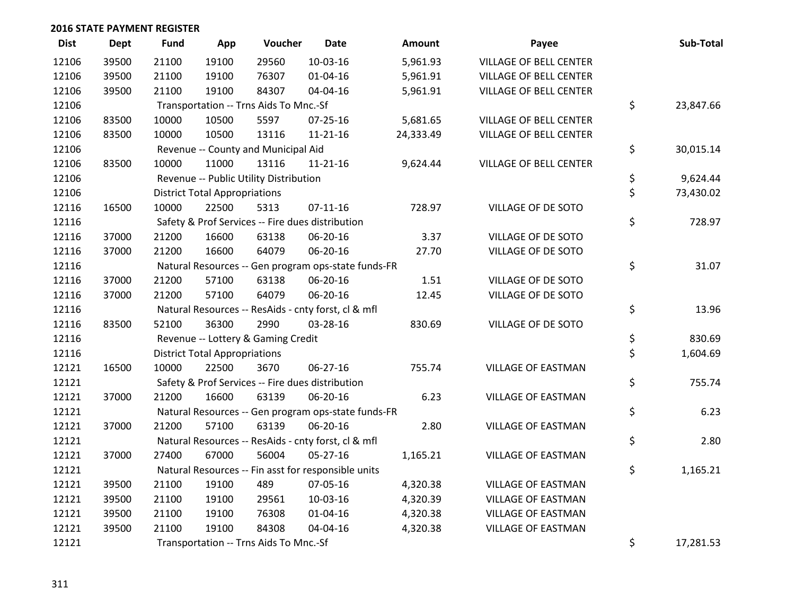| <b>Dist</b> | <b>Dept</b> | <b>Fund</b> | App                                  | Voucher                                | <b>Date</b>                                         | Amount    | Payee                         | Sub-Total       |
|-------------|-------------|-------------|--------------------------------------|----------------------------------------|-----------------------------------------------------|-----------|-------------------------------|-----------------|
| 12106       | 39500       | 21100       | 19100                                | 29560                                  | 10-03-16                                            | 5,961.93  | <b>VILLAGE OF BELL CENTER</b> |                 |
| 12106       | 39500       | 21100       | 19100                                | 76307                                  | 01-04-16                                            | 5,961.91  | VILLAGE OF BELL CENTER        |                 |
| 12106       | 39500       | 21100       | 19100                                | 84307                                  | 04-04-16                                            | 5,961.91  | <b>VILLAGE OF BELL CENTER</b> |                 |
| 12106       |             |             |                                      | Transportation -- Trns Aids To Mnc.-Sf |                                                     |           |                               | \$<br>23,847.66 |
| 12106       | 83500       | 10000       | 10500                                | 5597                                   | 07-25-16                                            | 5,681.65  | <b>VILLAGE OF BELL CENTER</b> |                 |
| 12106       | 83500       | 10000       | 10500                                | 13116                                  | $11 - 21 - 16$                                      | 24,333.49 | <b>VILLAGE OF BELL CENTER</b> |                 |
| 12106       |             |             |                                      | Revenue -- County and Municipal Aid    |                                                     |           |                               | \$<br>30,015.14 |
| 12106       | 83500       | 10000       | 11000                                | 13116                                  | $11 - 21 - 16$                                      | 9,624.44  | <b>VILLAGE OF BELL CENTER</b> |                 |
| 12106       |             |             |                                      | Revenue -- Public Utility Distribution |                                                     |           |                               | \$<br>9,624.44  |
| 12106       |             |             | <b>District Total Appropriations</b> |                                        |                                                     |           |                               | \$<br>73,430.02 |
| 12116       | 16500       | 10000       | 22500                                | 5313                                   | $07-11-16$                                          | 728.97    | VILLAGE OF DE SOTO            |                 |
| 12116       |             |             |                                      |                                        | Safety & Prof Services -- Fire dues distribution    |           |                               | \$<br>728.97    |
| 12116       | 37000       | 21200       | 16600                                | 63138                                  | 06-20-16                                            | 3.37      | VILLAGE OF DE SOTO            |                 |
| 12116       | 37000       | 21200       | 16600                                | 64079                                  | 06-20-16                                            | 27.70     | VILLAGE OF DE SOTO            |                 |
| 12116       |             |             |                                      |                                        | Natural Resources -- Gen program ops-state funds-FR |           |                               | \$<br>31.07     |
| 12116       | 37000       | 21200       | 57100                                | 63138                                  | 06-20-16                                            | 1.51      | VILLAGE OF DE SOTO            |                 |
| 12116       | 37000       | 21200       | 57100                                | 64079                                  | 06-20-16                                            | 12.45     | VILLAGE OF DE SOTO            |                 |
| 12116       |             |             |                                      |                                        | Natural Resources -- ResAids - cnty forst, cl & mfl |           |                               | \$<br>13.96     |
| 12116       | 83500       | 52100       | 36300                                | 2990                                   | 03-28-16                                            | 830.69    | VILLAGE OF DE SOTO            |                 |
| 12116       |             |             |                                      | Revenue -- Lottery & Gaming Credit     |                                                     |           |                               | \$<br>830.69    |
| 12116       |             |             | <b>District Total Appropriations</b> |                                        |                                                     |           |                               | \$<br>1,604.69  |
| 12121       | 16500       | 10000       | 22500                                | 3670                                   | 06-27-16                                            | 755.74    | <b>VILLAGE OF EASTMAN</b>     |                 |
| 12121       |             |             |                                      |                                        | Safety & Prof Services -- Fire dues distribution    |           |                               | \$<br>755.74    |
| 12121       | 37000       | 21200       | 16600                                | 63139                                  | 06-20-16                                            | 6.23      | <b>VILLAGE OF EASTMAN</b>     |                 |
| 12121       |             |             |                                      |                                        | Natural Resources -- Gen program ops-state funds-FR |           |                               | \$<br>6.23      |
| 12121       | 37000       | 21200       | 57100                                | 63139                                  | 06-20-16                                            | 2.80      | <b>VILLAGE OF EASTMAN</b>     |                 |
| 12121       |             |             |                                      |                                        | Natural Resources -- ResAids - cnty forst, cl & mfl |           |                               | \$<br>2.80      |
| 12121       | 37000       | 27400       | 67000                                | 56004                                  | $05 - 27 - 16$                                      | 1,165.21  | VILLAGE OF EASTMAN            |                 |
| 12121       |             |             |                                      |                                        | Natural Resources -- Fin asst for responsible units |           |                               | \$<br>1,165.21  |
| 12121       | 39500       | 21100       | 19100                                | 489                                    | 07-05-16                                            | 4,320.38  | <b>VILLAGE OF EASTMAN</b>     |                 |
| 12121       | 39500       | 21100       | 19100                                | 29561                                  | 10-03-16                                            | 4,320.39  | VILLAGE OF EASTMAN            |                 |
| 12121       | 39500       | 21100       | 19100                                | 76308                                  | $01 - 04 - 16$                                      | 4,320.38  | <b>VILLAGE OF EASTMAN</b>     |                 |
| 12121       | 39500       | 21100       | 19100                                | 84308                                  | 04-04-16                                            | 4,320.38  | <b>VILLAGE OF EASTMAN</b>     |                 |
| 12121       |             |             |                                      | Transportation -- Trns Aids To Mnc.-Sf |                                                     |           |                               | \$<br>17,281.53 |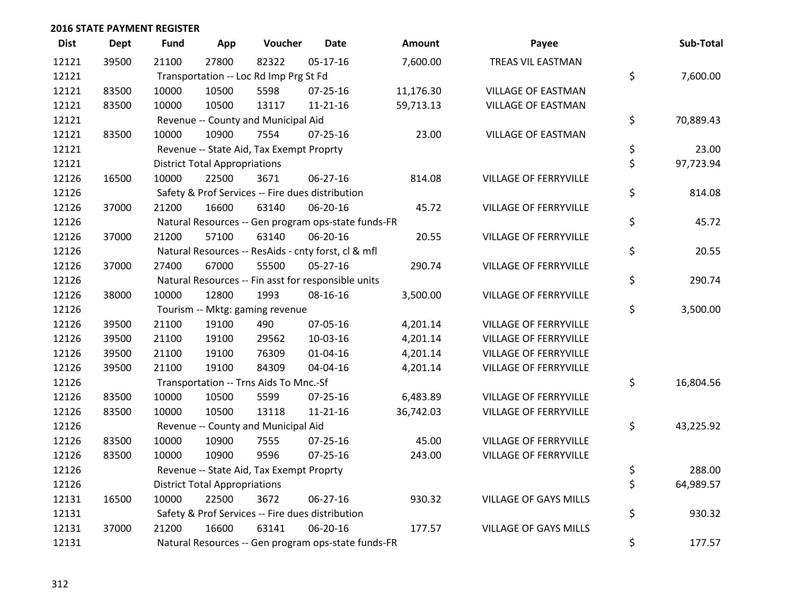| <b>Dist</b> | <b>Dept</b> | <b>Fund</b> | App                                  | Voucher                                  | <b>Date</b>                                         | <b>Amount</b> | Payee                        | Sub-Total       |
|-------------|-------------|-------------|--------------------------------------|------------------------------------------|-----------------------------------------------------|---------------|------------------------------|-----------------|
| 12121       | 39500       | 21100       | 27800                                | 82322                                    | $05 - 17 - 16$                                      | 7,600.00      | TREAS VIL EASTMAN            |                 |
| 12121       |             |             |                                      | Transportation -- Loc Rd Imp Prg St Fd   |                                                     |               |                              | \$<br>7,600.00  |
| 12121       | 83500       | 10000       | 10500                                | 5598                                     | 07-25-16                                            | 11,176.30     | <b>VILLAGE OF EASTMAN</b>    |                 |
| 12121       | 83500       | 10000       | 10500                                | 13117                                    | $11 - 21 - 16$                                      | 59,713.13     | <b>VILLAGE OF EASTMAN</b>    |                 |
| 12121       |             |             |                                      | Revenue -- County and Municipal Aid      |                                                     |               |                              | \$<br>70,889.43 |
| 12121       | 83500       | 10000       | 10900                                | 7554                                     | $07 - 25 - 16$                                      | 23.00         | <b>VILLAGE OF EASTMAN</b>    |                 |
| 12121       |             |             |                                      | Revenue -- State Aid, Tax Exempt Proprty |                                                     |               |                              | \$<br>23.00     |
| 12121       |             |             | <b>District Total Appropriations</b> |                                          |                                                     |               |                              | \$<br>97,723.94 |
| 12126       | 16500       | 10000       | 22500                                | 3671                                     | 06-27-16                                            | 814.08        | VILLAGE OF FERRYVILLE        |                 |
| 12126       |             |             |                                      |                                          | Safety & Prof Services -- Fire dues distribution    |               |                              | \$<br>814.08    |
| 12126       | 37000       | 21200       | 16600                                | 63140                                    | 06-20-16                                            | 45.72         | VILLAGE OF FERRYVILLE        |                 |
| 12126       |             |             |                                      |                                          | Natural Resources -- Gen program ops-state funds-FR |               |                              | \$<br>45.72     |
| 12126       | 37000       | 21200       | 57100                                | 63140                                    | 06-20-16                                            | 20.55         | VILLAGE OF FERRYVILLE        |                 |
| 12126       |             |             |                                      |                                          | Natural Resources -- ResAids - cnty forst, cl & mfl |               |                              | \$<br>20.55     |
| 12126       | 37000       | 27400       | 67000                                | 55500                                    | $05 - 27 - 16$                                      | 290.74        | <b>VILLAGE OF FERRYVILLE</b> |                 |
| 12126       |             |             |                                      |                                          | Natural Resources -- Fin asst for responsible units |               |                              | \$<br>290.74    |
| 12126       | 38000       | 10000       | 12800                                | 1993                                     | 08-16-16                                            | 3,500.00      | <b>VILLAGE OF FERRYVILLE</b> |                 |
| 12126       |             |             |                                      | Tourism -- Mktg: gaming revenue          |                                                     |               |                              | \$<br>3,500.00  |
| 12126       | 39500       | 21100       | 19100                                | 490                                      | 07-05-16                                            | 4,201.14      | <b>VILLAGE OF FERRYVILLE</b> |                 |
| 12126       | 39500       | 21100       | 19100                                | 29562                                    | 10-03-16                                            | 4,201.14      | <b>VILLAGE OF FERRYVILLE</b> |                 |
| 12126       | 39500       | 21100       | 19100                                | 76309                                    | $01 - 04 - 16$                                      | 4,201.14      | VILLAGE OF FERRYVILLE        |                 |
| 12126       | 39500       | 21100       | 19100                                | 84309                                    | 04-04-16                                            | 4,201.14      | <b>VILLAGE OF FERRYVILLE</b> |                 |
| 12126       |             |             |                                      | Transportation -- Trns Aids To Mnc.-Sf   |                                                     |               |                              | \$<br>16,804.56 |
| 12126       | 83500       | 10000       | 10500                                | 5599                                     | $07 - 25 - 16$                                      | 6,483.89      | <b>VILLAGE OF FERRYVILLE</b> |                 |
| 12126       | 83500       | 10000       | 10500                                | 13118                                    | $11 - 21 - 16$                                      | 36,742.03     | VILLAGE OF FERRYVILLE        |                 |
| 12126       |             |             |                                      | Revenue -- County and Municipal Aid      |                                                     |               |                              | \$<br>43,225.92 |
| 12126       | 83500       | 10000       | 10900                                | 7555                                     | 07-25-16                                            | 45.00         | <b>VILLAGE OF FERRYVILLE</b> |                 |
| 12126       | 83500       | 10000       | 10900                                | 9596                                     | $07 - 25 - 16$                                      | 243.00        | <b>VILLAGE OF FERRYVILLE</b> |                 |
| 12126       |             |             |                                      | Revenue -- State Aid, Tax Exempt Proprty |                                                     |               |                              | \$<br>288.00    |
| 12126       |             |             | <b>District Total Appropriations</b> |                                          |                                                     |               |                              | \$<br>64,989.57 |
| 12131       | 16500       | 10000       | 22500                                | 3672                                     | 06-27-16                                            | 930.32        | <b>VILLAGE OF GAYS MILLS</b> |                 |
| 12131       |             |             |                                      |                                          | Safety & Prof Services -- Fire dues distribution    |               |                              | \$<br>930.32    |
| 12131       | 37000       | 21200       | 16600                                | 63141                                    | 06-20-16                                            | 177.57        | <b>VILLAGE OF GAYS MILLS</b> |                 |
| 12131       |             |             |                                      |                                          | Natural Resources -- Gen program ops-state funds-FR |               |                              | \$<br>177.57    |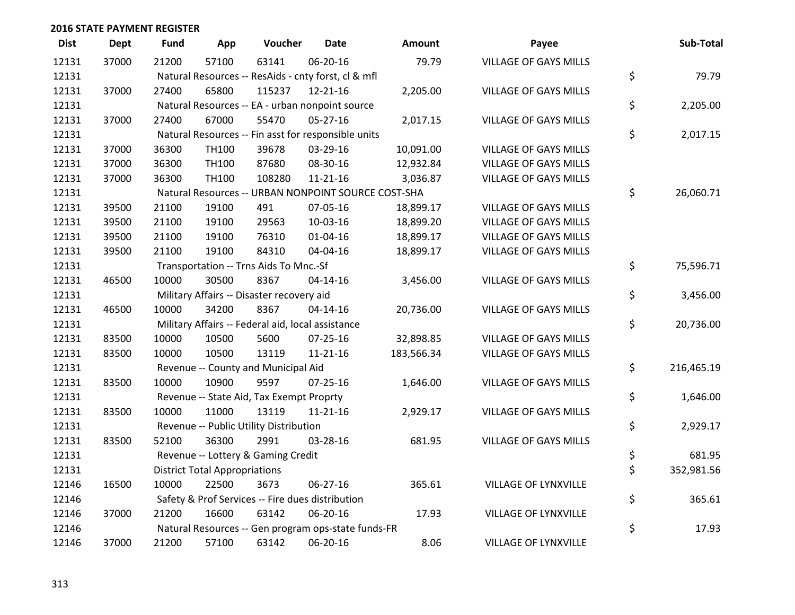| <b>Dist</b> | Dept  | <b>Fund</b> | App                                  | Voucher                                           | <b>Date</b>                                         | Amount     | Payee                        | Sub-Total        |
|-------------|-------|-------------|--------------------------------------|---------------------------------------------------|-----------------------------------------------------|------------|------------------------------|------------------|
| 12131       | 37000 | 21200       | 57100                                | 63141                                             | 06-20-16                                            | 79.79      | <b>VILLAGE OF GAYS MILLS</b> |                  |
| 12131       |       |             |                                      |                                                   | Natural Resources -- ResAids - cnty forst, cl & mfl |            |                              | \$<br>79.79      |
| 12131       | 37000 | 27400       | 65800                                | 115237                                            | 12-21-16                                            | 2,205.00   | <b>VILLAGE OF GAYS MILLS</b> |                  |
| 12131       |       |             |                                      |                                                   | Natural Resources -- EA - urban nonpoint source     |            |                              | \$<br>2,205.00   |
| 12131       | 37000 | 27400       | 67000                                | 55470                                             | $05 - 27 - 16$                                      | 2,017.15   | <b>VILLAGE OF GAYS MILLS</b> |                  |
| 12131       |       |             |                                      |                                                   | Natural Resources -- Fin asst for responsible units |            |                              | \$<br>2,017.15   |
| 12131       | 37000 | 36300       | TH100                                | 39678                                             | 03-29-16                                            | 10,091.00  | <b>VILLAGE OF GAYS MILLS</b> |                  |
| 12131       | 37000 | 36300       | TH100                                | 87680                                             | 08-30-16                                            | 12,932.84  | <b>VILLAGE OF GAYS MILLS</b> |                  |
| 12131       | 37000 | 36300       | TH100                                | 108280                                            | $11 - 21 - 16$                                      | 3,036.87   | <b>VILLAGE OF GAYS MILLS</b> |                  |
| 12131       |       |             |                                      |                                                   | Natural Resources -- URBAN NONPOINT SOURCE COST-SHA |            |                              | \$<br>26,060.71  |
| 12131       | 39500 | 21100       | 19100                                | 491                                               | 07-05-16                                            | 18,899.17  | <b>VILLAGE OF GAYS MILLS</b> |                  |
| 12131       | 39500 | 21100       | 19100                                | 29563                                             | 10-03-16                                            | 18,899.20  | <b>VILLAGE OF GAYS MILLS</b> |                  |
| 12131       | 39500 | 21100       | 19100                                | 76310                                             | $01 - 04 - 16$                                      | 18,899.17  | <b>VILLAGE OF GAYS MILLS</b> |                  |
| 12131       | 39500 | 21100       | 19100                                | 84310                                             | 04-04-16                                            | 18,899.17  | <b>VILLAGE OF GAYS MILLS</b> |                  |
| 12131       |       |             |                                      | Transportation -- Trns Aids To Mnc.-Sf            |                                                     |            |                              | \$<br>75,596.71  |
| 12131       | 46500 | 10000       | 30500                                | 8367                                              | $04 - 14 - 16$                                      | 3,456.00   | <b>VILLAGE OF GAYS MILLS</b> |                  |
| 12131       |       |             |                                      | Military Affairs -- Disaster recovery aid         |                                                     |            |                              | \$<br>3,456.00   |
| 12131       | 46500 | 10000       | 34200                                | 8367                                              | $04 - 14 - 16$                                      | 20,736.00  | <b>VILLAGE OF GAYS MILLS</b> |                  |
| 12131       |       |             |                                      | Military Affairs -- Federal aid, local assistance |                                                     |            |                              | \$<br>20,736.00  |
| 12131       | 83500 | 10000       | 10500                                | 5600                                              | $07 - 25 - 16$                                      | 32,898.85  | <b>VILLAGE OF GAYS MILLS</b> |                  |
| 12131       | 83500 | 10000       | 10500                                | 13119                                             | $11 - 21 - 16$                                      | 183,566.34 | <b>VILLAGE OF GAYS MILLS</b> |                  |
| 12131       |       |             |                                      | Revenue -- County and Municipal Aid               |                                                     |            |                              | \$<br>216,465.19 |
| 12131       | 83500 | 10000       | 10900                                | 9597                                              | $07 - 25 - 16$                                      | 1,646.00   | <b>VILLAGE OF GAYS MILLS</b> |                  |
| 12131       |       |             |                                      | Revenue -- State Aid, Tax Exempt Proprty          |                                                     |            |                              | \$<br>1,646.00   |
| 12131       | 83500 | 10000       | 11000                                | 13119                                             | $11 - 21 - 16$                                      | 2,929.17   | <b>VILLAGE OF GAYS MILLS</b> |                  |
| 12131       |       |             |                                      | Revenue -- Public Utility Distribution            |                                                     |            |                              | \$<br>2,929.17   |
| 12131       | 83500 | 52100       | 36300                                | 2991                                              | 03-28-16                                            | 681.95     | <b>VILLAGE OF GAYS MILLS</b> |                  |
| 12131       |       |             |                                      | Revenue -- Lottery & Gaming Credit                |                                                     |            |                              | \$<br>681.95     |
| 12131       |       |             | <b>District Total Appropriations</b> |                                                   |                                                     |            |                              | \$<br>352,981.56 |
| 12146       | 16500 | 10000       | 22500                                | 3673                                              | 06-27-16                                            | 365.61     | <b>VILLAGE OF LYNXVILLE</b>  |                  |
| 12146       |       |             |                                      |                                                   | Safety & Prof Services -- Fire dues distribution    |            |                              | \$<br>365.61     |
| 12146       | 37000 | 21200       | 16600                                | 63142                                             | 06-20-16                                            | 17.93      | <b>VILLAGE OF LYNXVILLE</b>  |                  |
| 12146       |       |             |                                      |                                                   | Natural Resources -- Gen program ops-state funds-FR |            |                              | \$<br>17.93      |
| 12146       | 37000 | 21200       | 57100                                | 63142                                             | 06-20-16                                            | 8.06       | <b>VILLAGE OF LYNXVILLE</b>  |                  |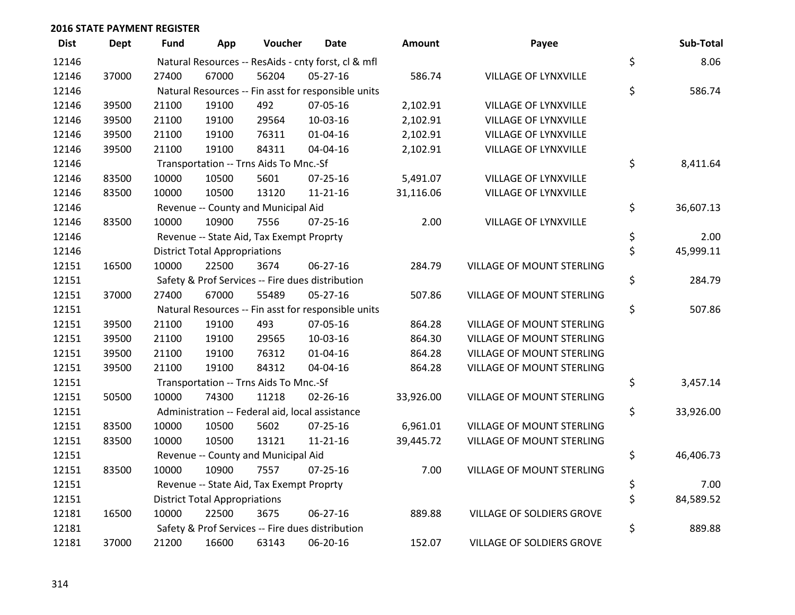| <b>Dist</b> | <b>Dept</b> | <b>Fund</b> | App                                  | Voucher                                         | <b>Date</b>                                         | <b>Amount</b> | Payee                            | Sub-Total       |
|-------------|-------------|-------------|--------------------------------------|-------------------------------------------------|-----------------------------------------------------|---------------|----------------------------------|-----------------|
| 12146       |             |             |                                      |                                                 | Natural Resources -- ResAids - cnty forst, cl & mfl |               |                                  | \$<br>8.06      |
| 12146       | 37000       | 27400       | 67000                                | 56204                                           | 05-27-16                                            | 586.74        | <b>VILLAGE OF LYNXVILLE</b>      |                 |
| 12146       |             |             |                                      |                                                 | Natural Resources -- Fin asst for responsible units |               |                                  | \$<br>586.74    |
| 12146       | 39500       | 21100       | 19100                                | 492                                             | 07-05-16                                            | 2,102.91      | VILLAGE OF LYNXVILLE             |                 |
| 12146       | 39500       | 21100       | 19100                                | 29564                                           | 10-03-16                                            | 2,102.91      | VILLAGE OF LYNXVILLE             |                 |
| 12146       | 39500       | 21100       | 19100                                | 76311                                           | $01 - 04 - 16$                                      | 2,102.91      | VILLAGE OF LYNXVILLE             |                 |
| 12146       | 39500       | 21100       | 19100                                | 84311                                           | 04-04-16                                            | 2,102.91      | VILLAGE OF LYNXVILLE             |                 |
| 12146       |             |             |                                      | Transportation -- Trns Aids To Mnc.-Sf          |                                                     |               |                                  | \$<br>8,411.64  |
| 12146       | 83500       | 10000       | 10500                                | 5601                                            | $07 - 25 - 16$                                      | 5,491.07      | VILLAGE OF LYNXVILLE             |                 |
| 12146       | 83500       | 10000       | 10500                                | 13120                                           | $11 - 21 - 16$                                      | 31,116.06     | VILLAGE OF LYNXVILLE             |                 |
| 12146       |             |             |                                      | Revenue -- County and Municipal Aid             |                                                     |               |                                  | \$<br>36,607.13 |
| 12146       | 83500       | 10000       | 10900                                | 7556                                            | $07 - 25 - 16$                                      | 2.00          | <b>VILLAGE OF LYNXVILLE</b>      |                 |
| 12146       |             |             |                                      | Revenue -- State Aid, Tax Exempt Proprty        |                                                     |               |                                  | \$<br>2.00      |
| 12146       |             |             | <b>District Total Appropriations</b> |                                                 |                                                     |               |                                  | \$<br>45,999.11 |
| 12151       | 16500       | 10000       | 22500                                | 3674                                            | 06-27-16                                            | 284.79        | VILLAGE OF MOUNT STERLING        |                 |
| 12151       |             |             |                                      |                                                 | Safety & Prof Services -- Fire dues distribution    |               |                                  | \$<br>284.79    |
| 12151       | 37000       | 27400       | 67000                                | 55489                                           | 05-27-16                                            | 507.86        | VILLAGE OF MOUNT STERLING        |                 |
| 12151       |             |             |                                      |                                                 | Natural Resources -- Fin asst for responsible units |               |                                  | \$<br>507.86    |
| 12151       | 39500       | 21100       | 19100                                | 493                                             | 07-05-16                                            | 864.28        | <b>VILLAGE OF MOUNT STERLING</b> |                 |
| 12151       | 39500       | 21100       | 19100                                | 29565                                           | 10-03-16                                            | 864.30        | VILLAGE OF MOUNT STERLING        |                 |
| 12151       | 39500       | 21100       | 19100                                | 76312                                           | $01 - 04 - 16$                                      | 864.28        | VILLAGE OF MOUNT STERLING        |                 |
| 12151       | 39500       | 21100       | 19100                                | 84312                                           | 04-04-16                                            | 864.28        | VILLAGE OF MOUNT STERLING        |                 |
| 12151       |             |             |                                      | Transportation -- Trns Aids To Mnc.-Sf          |                                                     |               |                                  | \$<br>3,457.14  |
| 12151       | 50500       | 10000       | 74300                                | 11218                                           | $02 - 26 - 16$                                      | 33,926.00     | VILLAGE OF MOUNT STERLING        |                 |
| 12151       |             |             |                                      | Administration -- Federal aid, local assistance |                                                     |               |                                  | \$<br>33,926.00 |
| 12151       | 83500       | 10000       | 10500                                | 5602                                            | $07 - 25 - 16$                                      | 6,961.01      | VILLAGE OF MOUNT STERLING        |                 |
| 12151       | 83500       | 10000       | 10500                                | 13121                                           | $11 - 21 - 16$                                      | 39,445.72     | VILLAGE OF MOUNT STERLING        |                 |
| 12151       |             |             |                                      | Revenue -- County and Municipal Aid             |                                                     |               |                                  | \$<br>46,406.73 |
| 12151       | 83500       | 10000       | 10900                                | 7557                                            | $07 - 25 - 16$                                      | 7.00          | VILLAGE OF MOUNT STERLING        |                 |
| 12151       |             |             |                                      | Revenue -- State Aid, Tax Exempt Proprty        |                                                     |               |                                  | \$<br>7.00      |
| 12151       |             |             | <b>District Total Appropriations</b> |                                                 |                                                     |               |                                  | \$<br>84,589.52 |
| 12181       | 16500       | 10000       | 22500                                | 3675                                            | 06-27-16                                            | 889.88        | VILLAGE OF SOLDIERS GROVE        |                 |
| 12181       |             |             |                                      |                                                 | Safety & Prof Services -- Fire dues distribution    |               |                                  | \$<br>889.88    |
| 12181       | 37000       | 21200       | 16600                                | 63143                                           | 06-20-16                                            | 152.07        | VILLAGE OF SOLDIERS GROVE        |                 |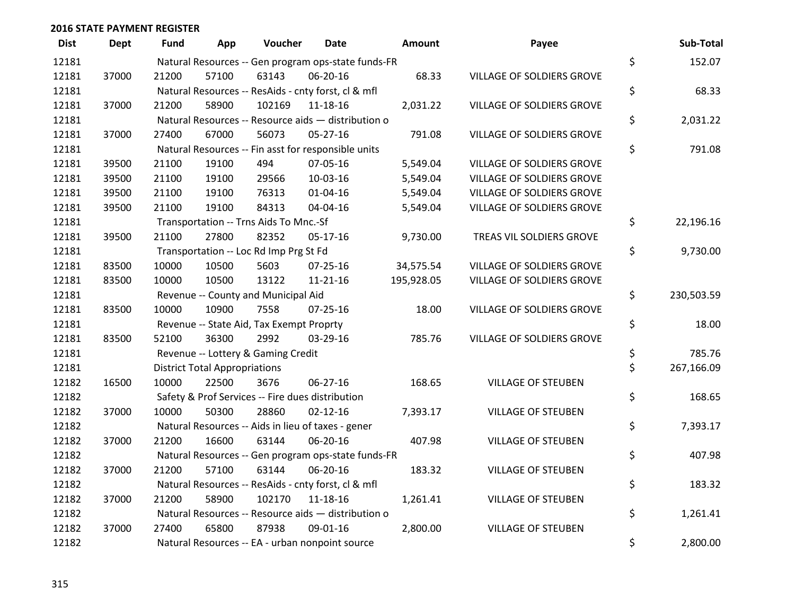| <b>Dist</b> | <b>Dept</b> | Fund  | App                                  | Voucher                                             | <b>Date</b>    | Amount     | Payee                            | Sub-Total        |
|-------------|-------------|-------|--------------------------------------|-----------------------------------------------------|----------------|------------|----------------------------------|------------------|
| 12181       |             |       |                                      | Natural Resources -- Gen program ops-state funds-FR |                |            |                                  | \$<br>152.07     |
| 12181       | 37000       | 21200 | 57100                                | 63143                                               | 06-20-16       | 68.33      | <b>VILLAGE OF SOLDIERS GROVE</b> |                  |
| 12181       |             |       |                                      | Natural Resources -- ResAids - cnty forst, cl & mfl |                |            |                                  | \$<br>68.33      |
| 12181       | 37000       | 21200 | 58900                                | 102169                                              | 11-18-16       | 2,031.22   | VILLAGE OF SOLDIERS GROVE        |                  |
| 12181       |             |       |                                      | Natural Resources -- Resource aids - distribution o |                |            |                                  | \$<br>2,031.22   |
| 12181       | 37000       | 27400 | 67000                                | 56073                                               | $05 - 27 - 16$ | 791.08     | VILLAGE OF SOLDIERS GROVE        |                  |
| 12181       |             |       |                                      | Natural Resources -- Fin asst for responsible units |                |            |                                  | \$<br>791.08     |
| 12181       | 39500       | 21100 | 19100                                | 494                                                 | 07-05-16       | 5,549.04   | <b>VILLAGE OF SOLDIERS GROVE</b> |                  |
| 12181       | 39500       | 21100 | 19100                                | 29566                                               | 10-03-16       | 5,549.04   | VILLAGE OF SOLDIERS GROVE        |                  |
| 12181       | 39500       | 21100 | 19100                                | 76313                                               | $01 - 04 - 16$ | 5,549.04   | VILLAGE OF SOLDIERS GROVE        |                  |
| 12181       | 39500       | 21100 | 19100                                | 84313                                               | 04-04-16       | 5,549.04   | VILLAGE OF SOLDIERS GROVE        |                  |
| 12181       |             |       |                                      | Transportation -- Trns Aids To Mnc.-Sf              |                |            |                                  | \$<br>22,196.16  |
| 12181       | 39500       | 21100 | 27800                                | 82352                                               | 05-17-16       | 9,730.00   | TREAS VIL SOLDIERS GROVE         |                  |
| 12181       |             |       |                                      | Transportation -- Loc Rd Imp Prg St Fd              |                |            |                                  | \$<br>9,730.00   |
| 12181       | 83500       | 10000 | 10500                                | 5603                                                | $07 - 25 - 16$ | 34,575.54  | VILLAGE OF SOLDIERS GROVE        |                  |
| 12181       | 83500       | 10000 | 10500                                | 13122                                               | $11 - 21 - 16$ | 195,928.05 | VILLAGE OF SOLDIERS GROVE        |                  |
| 12181       |             |       |                                      | Revenue -- County and Municipal Aid                 |                |            |                                  | \$<br>230,503.59 |
| 12181       | 83500       | 10000 | 10900                                | 7558                                                | $07 - 25 - 16$ | 18.00      | VILLAGE OF SOLDIERS GROVE        |                  |
| 12181       |             |       |                                      | Revenue -- State Aid, Tax Exempt Proprty            |                |            |                                  | \$<br>18.00      |
| 12181       | 83500       | 52100 | 36300                                | 2992                                                | 03-29-16       | 785.76     | <b>VILLAGE OF SOLDIERS GROVE</b> |                  |
| 12181       |             |       |                                      | Revenue -- Lottery & Gaming Credit                  |                |            |                                  | \$<br>785.76     |
| 12181       |             |       | <b>District Total Appropriations</b> |                                                     |                |            |                                  | \$<br>267,166.09 |
| 12182       | 16500       | 10000 | 22500                                | 3676                                                | 06-27-16       | 168.65     | <b>VILLAGE OF STEUBEN</b>        |                  |
| 12182       |             |       |                                      | Safety & Prof Services -- Fire dues distribution    |                |            |                                  | \$<br>168.65     |
| 12182       | 37000       | 10000 | 50300                                | 28860                                               | $02 - 12 - 16$ | 7,393.17   | <b>VILLAGE OF STEUBEN</b>        |                  |
| 12182       |             |       |                                      | Natural Resources -- Aids in lieu of taxes - gener  |                |            |                                  | \$<br>7,393.17   |
| 12182       | 37000       | 21200 | 16600                                | 63144                                               | 06-20-16       | 407.98     | <b>VILLAGE OF STEUBEN</b>        |                  |
| 12182       |             |       |                                      | Natural Resources -- Gen program ops-state funds-FR |                |            |                                  | \$<br>407.98     |
| 12182       | 37000       | 21200 | 57100                                | 63144                                               | 06-20-16       | 183.32     | <b>VILLAGE OF STEUBEN</b>        |                  |
| 12182       |             |       |                                      | Natural Resources -- ResAids - cnty forst, cl & mfl |                |            |                                  | \$<br>183.32     |
| 12182       | 37000       | 21200 | 58900                                | 102170                                              | $11 - 18 - 16$ | 1,261.41   | <b>VILLAGE OF STEUBEN</b>        |                  |
| 12182       |             |       |                                      | Natural Resources -- Resource aids - distribution o |                |            |                                  | \$<br>1,261.41   |
| 12182       | 37000       | 27400 | 65800                                | 87938                                               | 09-01-16       | 2,800.00   | <b>VILLAGE OF STEUBEN</b>        |                  |
| 12182       |             |       |                                      | Natural Resources -- EA - urban nonpoint source     |                |            |                                  | \$<br>2,800.00   |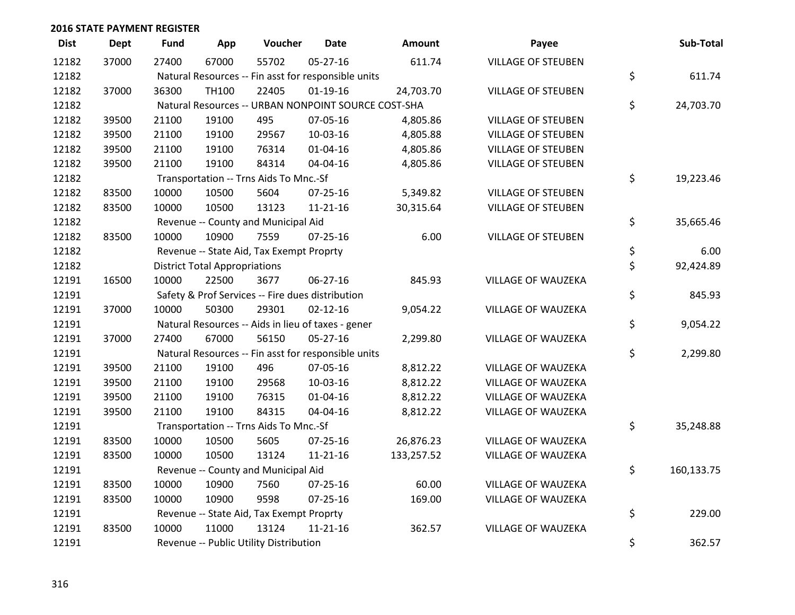| <b>Dist</b> | <b>Dept</b> | Fund  | App                                  | Voucher                                  | <b>Date</b>                                         | <b>Amount</b>                                       | Payee                     | Sub-Total        |
|-------------|-------------|-------|--------------------------------------|------------------------------------------|-----------------------------------------------------|-----------------------------------------------------|---------------------------|------------------|
| 12182       | 37000       | 27400 | 67000                                | 55702                                    | $05 - 27 - 16$                                      | 611.74                                              | <b>VILLAGE OF STEUBEN</b> |                  |
| 12182       |             |       |                                      |                                          | Natural Resources -- Fin asst for responsible units |                                                     |                           | \$<br>611.74     |
| 12182       | 37000       | 36300 | TH100                                | 22405                                    | $01-19-16$                                          | 24,703.70                                           | <b>VILLAGE OF STEUBEN</b> |                  |
| 12182       |             |       |                                      |                                          |                                                     | Natural Resources -- URBAN NONPOINT SOURCE COST-SHA |                           | \$<br>24,703.70  |
| 12182       | 39500       | 21100 | 19100                                | 495                                      | 07-05-16                                            | 4,805.86                                            | <b>VILLAGE OF STEUBEN</b> |                  |
| 12182       | 39500       | 21100 | 19100                                | 29567                                    | 10-03-16                                            | 4,805.88                                            | <b>VILLAGE OF STEUBEN</b> |                  |
| 12182       | 39500       | 21100 | 19100                                | 76314                                    | $01 - 04 - 16$                                      | 4,805.86                                            | <b>VILLAGE OF STEUBEN</b> |                  |
| 12182       | 39500       | 21100 | 19100                                | 84314                                    | 04-04-16                                            | 4,805.86                                            | <b>VILLAGE OF STEUBEN</b> |                  |
| 12182       |             |       |                                      | Transportation -- Trns Aids To Mnc.-Sf   |                                                     |                                                     |                           | \$<br>19,223.46  |
| 12182       | 83500       | 10000 | 10500                                | 5604                                     | $07 - 25 - 16$                                      | 5,349.82                                            | <b>VILLAGE OF STEUBEN</b> |                  |
| 12182       | 83500       | 10000 | 10500                                | 13123                                    | $11 - 21 - 16$                                      | 30,315.64                                           | <b>VILLAGE OF STEUBEN</b> |                  |
| 12182       |             |       |                                      | Revenue -- County and Municipal Aid      |                                                     |                                                     |                           | \$<br>35,665.46  |
| 12182       | 83500       | 10000 | 10900                                | 7559                                     | $07 - 25 - 16$                                      | 6.00                                                | <b>VILLAGE OF STEUBEN</b> |                  |
| 12182       |             |       |                                      | Revenue -- State Aid, Tax Exempt Proprty |                                                     |                                                     |                           | \$<br>6.00       |
| 12182       |             |       | <b>District Total Appropriations</b> |                                          |                                                     |                                                     |                           | \$<br>92,424.89  |
| 12191       | 16500       | 10000 | 22500                                | 3677                                     | 06-27-16                                            | 845.93                                              | VILLAGE OF WAUZEKA        |                  |
| 12191       |             |       |                                      |                                          | Safety & Prof Services -- Fire dues distribution    |                                                     |                           | \$<br>845.93     |
| 12191       | 37000       | 10000 | 50300                                | 29301                                    | $02 - 12 - 16$                                      | 9,054.22                                            | <b>VILLAGE OF WAUZEKA</b> |                  |
| 12191       |             |       |                                      |                                          | Natural Resources -- Aids in lieu of taxes - gener  |                                                     |                           | \$<br>9,054.22   |
| 12191       | 37000       | 27400 | 67000                                | 56150                                    | 05-27-16                                            | 2,299.80                                            | VILLAGE OF WAUZEKA        |                  |
| 12191       |             |       |                                      |                                          | Natural Resources -- Fin asst for responsible units |                                                     |                           | \$<br>2,299.80   |
| 12191       | 39500       | 21100 | 19100                                | 496                                      | 07-05-16                                            | 8,812.22                                            | VILLAGE OF WAUZEKA        |                  |
| 12191       | 39500       | 21100 | 19100                                | 29568                                    | 10-03-16                                            | 8,812.22                                            | VILLAGE OF WAUZEKA        |                  |
| 12191       | 39500       | 21100 | 19100                                | 76315                                    | 01-04-16                                            | 8,812.22                                            | <b>VILLAGE OF WAUZEKA</b> |                  |
| 12191       | 39500       | 21100 | 19100                                | 84315                                    | 04-04-16                                            | 8,812.22                                            | VILLAGE OF WAUZEKA        |                  |
| 12191       |             |       |                                      | Transportation -- Trns Aids To Mnc.-Sf   |                                                     |                                                     |                           | \$<br>35,248.88  |
| 12191       | 83500       | 10000 | 10500                                | 5605                                     | $07 - 25 - 16$                                      | 26,876.23                                           | <b>VILLAGE OF WAUZEKA</b> |                  |
| 12191       | 83500       | 10000 | 10500                                | 13124                                    | $11 - 21 - 16$                                      | 133,257.52                                          | <b>VILLAGE OF WAUZEKA</b> |                  |
| 12191       |             |       |                                      | Revenue -- County and Municipal Aid      |                                                     |                                                     |                           | \$<br>160,133.75 |
| 12191       | 83500       | 10000 | 10900                                | 7560                                     | $07 - 25 - 16$                                      | 60.00                                               | VILLAGE OF WAUZEKA        |                  |
| 12191       | 83500       | 10000 | 10900                                | 9598                                     | $07 - 25 - 16$                                      | 169.00                                              | VILLAGE OF WAUZEKA        |                  |
| 12191       |             |       |                                      | Revenue -- State Aid, Tax Exempt Proprty |                                                     |                                                     |                           | \$<br>229.00     |
| 12191       | 83500       | 10000 | 11000                                | 13124                                    | $11 - 21 - 16$                                      | 362.57                                              | <b>VILLAGE OF WAUZEKA</b> |                  |
| 12191       |             |       |                                      | Revenue -- Public Utility Distribution   |                                                     |                                                     |                           | \$<br>362.57     |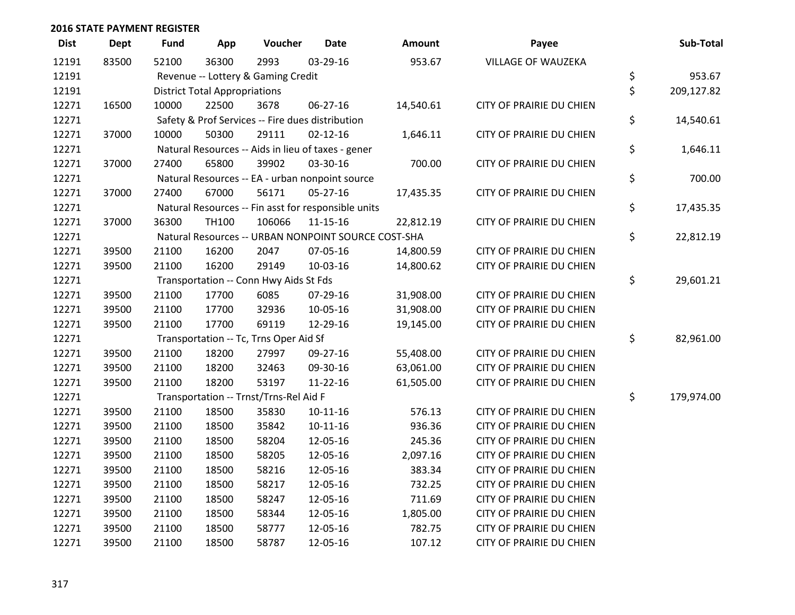| <b>Dist</b> | <b>Dept</b> | <b>Fund</b> | App                                  | Voucher                                | <b>Date</b>                                         | Amount    | Payee                           | Sub-Total        |
|-------------|-------------|-------------|--------------------------------------|----------------------------------------|-----------------------------------------------------|-----------|---------------------------------|------------------|
| 12191       | 83500       | 52100       | 36300                                | 2993                                   | 03-29-16                                            | 953.67    | <b>VILLAGE OF WAUZEKA</b>       |                  |
| 12191       |             |             |                                      | Revenue -- Lottery & Gaming Credit     |                                                     |           |                                 | \$<br>953.67     |
| 12191       |             |             | <b>District Total Appropriations</b> |                                        |                                                     |           |                                 | \$<br>209,127.82 |
| 12271       | 16500       | 10000       | 22500                                | 3678                                   | 06-27-16                                            | 14,540.61 | CITY OF PRAIRIE DU CHIEN        |                  |
| 12271       |             |             |                                      |                                        | Safety & Prof Services -- Fire dues distribution    |           |                                 | \$<br>14,540.61  |
| 12271       | 37000       | 10000       | 50300                                | 29111                                  | $02 - 12 - 16$                                      | 1,646.11  | CITY OF PRAIRIE DU CHIEN        |                  |
| 12271       |             |             |                                      |                                        | Natural Resources -- Aids in lieu of taxes - gener  |           |                                 | \$<br>1,646.11   |
| 12271       | 37000       | 27400       | 65800                                | 39902                                  | 03-30-16                                            | 700.00    | CITY OF PRAIRIE DU CHIEN        |                  |
| 12271       |             |             |                                      |                                        | Natural Resources -- EA - urban nonpoint source     |           |                                 | \$<br>700.00     |
| 12271       | 37000       | 27400       | 67000                                | 56171                                  | $05-27-16$                                          | 17,435.35 | CITY OF PRAIRIE DU CHIEN        |                  |
| 12271       |             |             |                                      |                                        | Natural Resources -- Fin asst for responsible units |           |                                 | \$<br>17,435.35  |
| 12271       | 37000       | 36300       | TH100                                | 106066                                 | $11 - 15 - 16$                                      | 22,812.19 | CITY OF PRAIRIE DU CHIEN        |                  |
| 12271       |             |             |                                      |                                        | Natural Resources -- URBAN NONPOINT SOURCE COST-SHA |           |                                 | \$<br>22,812.19  |
| 12271       | 39500       | 21100       | 16200                                | 2047                                   | 07-05-16                                            | 14,800.59 | <b>CITY OF PRAIRIE DU CHIEN</b> |                  |
| 12271       | 39500       | 21100       | 16200                                | 29149                                  | 10-03-16                                            | 14,800.62 | CITY OF PRAIRIE DU CHIEN        |                  |
| 12271       |             |             |                                      | Transportation -- Conn Hwy Aids St Fds |                                                     |           |                                 | \$<br>29,601.21  |
| 12271       | 39500       | 21100       | 17700                                | 6085                                   | 07-29-16                                            | 31,908.00 | CITY OF PRAIRIE DU CHIEN        |                  |
| 12271       | 39500       | 21100       | 17700                                | 32936                                  | 10-05-16                                            | 31,908.00 | CITY OF PRAIRIE DU CHIEN        |                  |
| 12271       | 39500       | 21100       | 17700                                | 69119                                  | 12-29-16                                            | 19,145.00 | <b>CITY OF PRAIRIE DU CHIEN</b> |                  |
| 12271       |             |             |                                      | Transportation -- Tc, Trns Oper Aid Sf |                                                     |           |                                 | \$<br>82,961.00  |
| 12271       | 39500       | 21100       | 18200                                | 27997                                  | 09-27-16                                            | 55,408.00 | CITY OF PRAIRIE DU CHIEN        |                  |
| 12271       | 39500       | 21100       | 18200                                | 32463                                  | 09-30-16                                            | 63,061.00 | CITY OF PRAIRIE DU CHIEN        |                  |
| 12271       | 39500       | 21100       | 18200                                | 53197                                  | 11-22-16                                            | 61,505.00 | CITY OF PRAIRIE DU CHIEN        |                  |
| 12271       |             |             |                                      | Transportation -- Trnst/Trns-Rel Aid F |                                                     |           |                                 | \$<br>179,974.00 |
| 12271       | 39500       | 21100       | 18500                                | 35830                                  | $10-11-16$                                          | 576.13    | CITY OF PRAIRIE DU CHIEN        |                  |
| 12271       | 39500       | 21100       | 18500                                | 35842                                  | $10-11-16$                                          | 936.36    | CITY OF PRAIRIE DU CHIEN        |                  |
| 12271       | 39500       | 21100       | 18500                                | 58204                                  | 12-05-16                                            | 245.36    | CITY OF PRAIRIE DU CHIEN        |                  |
| 12271       | 39500       | 21100       | 18500                                | 58205                                  | 12-05-16                                            | 2,097.16  | CITY OF PRAIRIE DU CHIEN        |                  |
| 12271       | 39500       | 21100       | 18500                                | 58216                                  | 12-05-16                                            | 383.34    | CITY OF PRAIRIE DU CHIEN        |                  |
| 12271       | 39500       | 21100       | 18500                                | 58217                                  | 12-05-16                                            | 732.25    | CITY OF PRAIRIE DU CHIEN        |                  |
| 12271       | 39500       | 21100       | 18500                                | 58247                                  | 12-05-16                                            | 711.69    | CITY OF PRAIRIE DU CHIEN        |                  |
| 12271       | 39500       | 21100       | 18500                                | 58344                                  | 12-05-16                                            | 1,805.00  | <b>CITY OF PRAIRIE DU CHIEN</b> |                  |
| 12271       | 39500       | 21100       | 18500                                | 58777                                  | 12-05-16                                            | 782.75    | <b>CITY OF PRAIRIE DU CHIEN</b> |                  |
| 12271       | 39500       | 21100       | 18500                                | 58787                                  | 12-05-16                                            | 107.12    | CITY OF PRAIRIE DU CHIEN        |                  |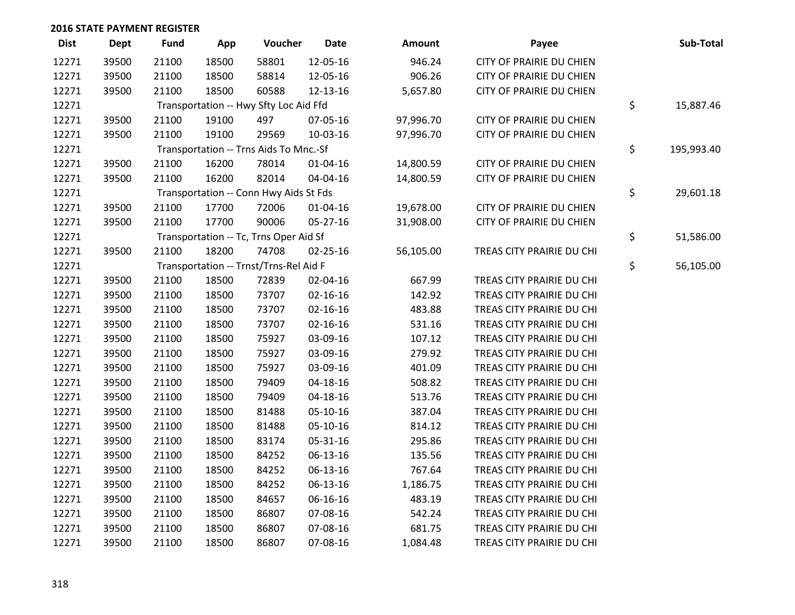| <b>Dist</b> | Dept  | <b>Fund</b> | App   | Voucher                                | <b>Date</b>    | Amount    | Payee                           | Sub-Total        |
|-------------|-------|-------------|-------|----------------------------------------|----------------|-----------|---------------------------------|------------------|
| 12271       | 39500 | 21100       | 18500 | 58801                                  | 12-05-16       | 946.24    | <b>CITY OF PRAIRIE DU CHIEN</b> |                  |
| 12271       | 39500 | 21100       | 18500 | 58814                                  | 12-05-16       | 906.26    | CITY OF PRAIRIE DU CHIEN        |                  |
| 12271       | 39500 | 21100       | 18500 | 60588                                  | 12-13-16       | 5,657.80  | CITY OF PRAIRIE DU CHIEN        |                  |
| 12271       |       |             |       | Transportation -- Hwy Sfty Loc Aid Ffd |                |           |                                 | \$<br>15,887.46  |
| 12271       | 39500 | 21100       | 19100 | 497                                    | 07-05-16       | 97,996.70 | <b>CITY OF PRAIRIE DU CHIEN</b> |                  |
| 12271       | 39500 | 21100       | 19100 | 29569                                  | 10-03-16       | 97,996.70 | CITY OF PRAIRIE DU CHIEN        |                  |
| 12271       |       |             |       | Transportation -- Trns Aids To Mnc.-Sf |                |           |                                 | \$<br>195,993.40 |
| 12271       | 39500 | 21100       | 16200 | 78014                                  | 01-04-16       | 14,800.59 | <b>CITY OF PRAIRIE DU CHIEN</b> |                  |
| 12271       | 39500 | 21100       | 16200 | 82014                                  | 04-04-16       | 14,800.59 | CITY OF PRAIRIE DU CHIEN        |                  |
| 12271       |       |             |       | Transportation -- Conn Hwy Aids St Fds |                |           |                                 | \$<br>29,601.18  |
| 12271       | 39500 | 21100       | 17700 | 72006                                  | $01 - 04 - 16$ | 19,678.00 | CITY OF PRAIRIE DU CHIEN        |                  |
| 12271       | 39500 | 21100       | 17700 | 90006                                  | 05-27-16       | 31,908.00 | <b>CITY OF PRAIRIE DU CHIEN</b> |                  |
| 12271       |       |             |       | Transportation -- Tc, Trns Oper Aid Sf |                |           |                                 | \$<br>51,586.00  |
| 12271       | 39500 | 21100       | 18200 | 74708                                  | 02-25-16       | 56,105.00 | TREAS CITY PRAIRIE DU CHI       |                  |
| 12271       |       |             |       | Transportation -- Trnst/Trns-Rel Aid F |                |           |                                 | \$<br>56,105.00  |
| 12271       | 39500 | 21100       | 18500 | 72839                                  | 02-04-16       | 667.99    | TREAS CITY PRAIRIE DU CHI       |                  |
| 12271       | 39500 | 21100       | 18500 | 73707                                  | $02 - 16 - 16$ | 142.92    | TREAS CITY PRAIRIE DU CHI       |                  |
| 12271       | 39500 | 21100       | 18500 | 73707                                  | $02 - 16 - 16$ | 483.88    | TREAS CITY PRAIRIE DU CHI       |                  |
| 12271       | 39500 | 21100       | 18500 | 73707                                  | $02 - 16 - 16$ | 531.16    | TREAS CITY PRAIRIE DU CHI       |                  |
| 12271       | 39500 | 21100       | 18500 | 75927                                  | 03-09-16       | 107.12    | TREAS CITY PRAIRIE DU CHI       |                  |
| 12271       | 39500 | 21100       | 18500 | 75927                                  | 03-09-16       | 279.92    | TREAS CITY PRAIRIE DU CHI       |                  |
| 12271       | 39500 | 21100       | 18500 | 75927                                  | 03-09-16       | 401.09    | TREAS CITY PRAIRIE DU CHI       |                  |
| 12271       | 39500 | 21100       | 18500 | 79409                                  | 04-18-16       | 508.82    | TREAS CITY PRAIRIE DU CHI       |                  |
| 12271       | 39500 | 21100       | 18500 | 79409                                  | $04 - 18 - 16$ | 513.76    | TREAS CITY PRAIRIE DU CHI       |                  |
| 12271       | 39500 | 21100       | 18500 | 81488                                  | $05-10-16$     | 387.04    | TREAS CITY PRAIRIE DU CHI       |                  |
| 12271       | 39500 | 21100       | 18500 | 81488                                  | 05-10-16       | 814.12    | TREAS CITY PRAIRIE DU CHI       |                  |
| 12271       | 39500 | 21100       | 18500 | 83174                                  | 05-31-16       | 295.86    | TREAS CITY PRAIRIE DU CHI       |                  |
| 12271       | 39500 | 21100       | 18500 | 84252                                  | 06-13-16       | 135.56    | TREAS CITY PRAIRIE DU CHI       |                  |
| 12271       | 39500 | 21100       | 18500 | 84252                                  | 06-13-16       | 767.64    | TREAS CITY PRAIRIE DU CHI       |                  |
| 12271       | 39500 | 21100       | 18500 | 84252                                  | 06-13-16       | 1,186.75  | TREAS CITY PRAIRIE DU CHI       |                  |
| 12271       | 39500 | 21100       | 18500 | 84657                                  | 06-16-16       | 483.19    | TREAS CITY PRAIRIE DU CHI       |                  |
| 12271       | 39500 | 21100       | 18500 | 86807                                  | 07-08-16       | 542.24    | TREAS CITY PRAIRIE DU CHI       |                  |
| 12271       | 39500 | 21100       | 18500 | 86807                                  | 07-08-16       | 681.75    | TREAS CITY PRAIRIE DU CHI       |                  |
| 12271       | 39500 | 21100       | 18500 | 86807                                  | 07-08-16       | 1,084.48  | TREAS CITY PRAIRIE DU CHI       |                  |